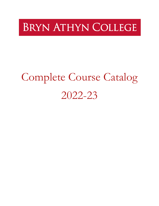# **BRYN ATHYN COLLEGE**

# Complete Course Catalog 2022-23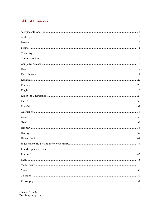# Table of Contents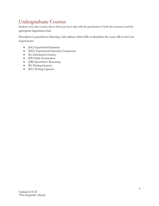# <span id="page-3-0"></span>Undergraduate Courses

Students may take courses above their year level only with the permission of both the instructor and the appropriate department chair.

Descriptors in parentheses following a title indicate which skills or disciplines the course fills in the Core requirements:

- (EE) Experiential Education
- (EEC) Experiential Education Component
- (IL) Information Literacy
- (PP) Public Presentation
- (QR) Quantitative Reasoning
- (W) Writing Intensive
- (WC) Writing Capstone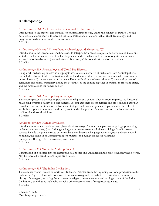# <span id="page-4-0"></span>**Anthropology**

# Anthropology 110. An Introduction to Cultural Anthropology.

Introduction to the theories and methods of cultural anthropology, and to the concept of culture. Though not a world cultures course, focuses on the basic institutions of culture such as ritual, technology, and progress as predicates for modern human society. 3 Credits.

# Anthropology/History 211. Artifacts, Archaeology, and Museums. (W)

Introduction to the theories and methods used to interpret how objects express a society's values, ideas, and attitudes. Includes examination of archaeological method and ethics, and the use of objects in a museum setting. Use of hands-on projects and visits to Bryn Athyn's historic district and other local sites. 3 Credits.

# Anthropology 213. Archaeology and World Pre-History.

Using world archaeological sites as steppingstones, follows a narrative of prehistory from Australopithecus through the advent of urban civilization in the old and new worlds. Focuses on three general revolutions in human history: 1) the emergence of the genus Homo with all its modern attributes; 2) the development of agriculture and animal husbandry during the Neolithic; 3) the coming together of humans in cities and states, and the ramifications for human society. 3 Credits.

# Anthropology 240. Anthropology of Religion.

This course presents a theoretical perspective on religion as a cultural phenomenon. Explores the functional relationships within a variety of belief systems. It compares them across cultures and time, and, in particular, considers their intersections with subsistence strategies and political systems. Topics include: the roles of symbols and practitioners, myth and ritual, magic and cultic practice, & secularism and fundamentalism in traditional and world religions.

3 Credits.

#### Anthropology 260. Human Evolution.

Introduction to human evolution and physical anthropology. Areas include paleoanthropology, primatology, molecular anthropology (population genetics), and to some extent evolutionary biology. Specific issues covered include the primate roots of human behavior, brain and language evolution, new and classic fossil hominids, the origin of anatomically modern humans, and human biogenetic variations. Prerequisite: Biology 122 or instructor permission. 3 Credits.

# Anthropology 305. Topics in Anthropology. \*

Examination of a selected topic in anthropology. Specific title announced in the course bulletin when offered. May be repeated when different topics are offered. 3 Credits.

# Anthropology 315. The Indus Civilization.\*

This seminar course focuses on northwest India and Pakistan from the beginnings of food production to the early Vedic Age. Explores what is known from archaeology and the early Vedic texts about the cultural history of the region, including the architecture, religion, material culture, and writing system of the Indus Civilization, as well as its trade relations with other urban centers of the greater Near East. 3 Credits.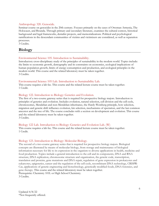# Anthropology 320. Genocide.

Seminar course on genocides in the 20th century. Focuses primarily on the cases of Ottoman Armenia, The Holocaust, and Rwanda. Through primary and secondary literature, examines the cultural context, historical background and legal frameworks, denialist projects, and memorializations. Political and psychological ramifications in the descendant communities of victims and victimizers are considered, as well as reparation processes.

3 Credits.

# <span id="page-5-0"></span>**Biology**

# Environmental Science 105. Introduction to Sustainability.

Introductory cross-disciplinary study of the principles of sustainability in the modern world. Topics include: the limits to economic growth, demography and its constraints on economics, ecological implications of human population growth, limits of energy consumption and production, and ecological principles in the modern world. This course and the related laboratory must be taken together. 3 Credits.

# Environmental Science 105 Lab. Introduction to Sustainability Lab.

This course requires a lab fee. This course and the related lecture course must be taken together. 1 Credit.

# Biology 122. Introduction to Biology: Genetics and Evolution.

The first of a two-course gateway series that is required for prospective biology majors. Introduction to principles of genetics and evolution. Includes evolution, natural selection, cell division and the cell cycle, chromosomes, Mendelian and non-Mendelian inheritance, the Hardy-Weinberg principle, how selection, migration and genetic drift influence evolution, kin selection, mechanisms of speciation, and the last common ancestor and the tree of life. The course concludes with a section on development and evolution. This course and the related laboratory must be taken together. 3 Credits.

# Biology 122 Lab. Introduction to Biology: Genetics and Evolution Lab. (W)

This course requires a lab fee. This course and the related lecture course must be taken together. 1 Credit.

# Biology 123. Introduction to Biology: Molecular Biology.

The second of a two-course gateway series that is required for prospective biology majors. Biological concepts are illustrated by means of molecular biology, from storage and maintenance of biological information necessary for life to its expression in the organism to diverse applications in health, medicine and food production. Topics include a general introduction to the cell and its components, DNA and RNA structure, DNA replication, chromosome structure and organization, the genetic code, transcription, translation and proteins, gene mutations and DNA repair, regulation of gene expression in prokaryotes and eukaryotes, epigenetics, cancer and the regulation of the cell cycle, recombinant DNA technology, CRISPR-Cas, applications of genetic engineering and biotechnology, genetically modified foods, DNA forensics, and gene therapy. This course and the related laboratory must be taken together. Prerequisite: Chemistry 101L or High School Chemistry. 3 Credits.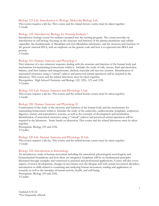# Biology 123 Lab. Introduction to Biology: Molecular Biology Lab.

This course requires a lab fee. This course and the related lecture course must be taken together. 1 Credit.

## Biology 124. Introductory Biology for Nursing Students.\*

Introductory biology course for students accepted into the nursing program. The course provides an introduction to cell biology focusing on the structure and function of the plasma membrane and cellular organelles, the fundamentals of Mendelian and non-Mendelian inheritance, and the structure and function of the genetic material DNA, with an emphasis on the genetic code and how it is expressed into RNA and protein.

3 Credits.

## Biology 210. Human Anatomy and Physiology I.

First trimester of a two-trimester sequence dealing with the structure and function of the human body and mechanisms for maintaining homeostasis within it. Includes the study of cells, tissues, fluid and electrolyte balance, acid-base balance and integumentary, skeletal, muscular and nervous systems. Identification of anatomical structures using a "virtual" cadaver and preserved animal specimens will be required in the laboratory. This course and the related laboratory must be taken together. Prerequisites: High School Chemistry and Biology 122, 122L, 123, and 123L. 3 Credits.

#### Biology 210 Lab. Human Anatomy and Physiology I Lab.

This course requires a lab fee. This course and the related lecture course must be taken together. 1 Credit.

#### Biology 220. Human Anatomy and Physiology II.

Continuation of the study of the structure and function of the human body and the mechanisms for maintaining homeostasis within it. Includes the study of the endocrine, cardiovascular, lymphatic, respiratory, digestive, urinary and reproductive systems, as well as the concepts of development and metabolism. Identification of anatomical structures using a "virtual" cadaver and preserved animal specimens will be required in the laboratory. Some hands-on dissection. This course and the related laboratory must be taken together.

Prerequisite: Biology 210 and 210L. 3 Credits.

#### Biology 220 Lab. Human Anatomy and Physiology II Lab.

This course requires a lab fee. This course and the related lecture course must be taken together. 1 Credit.

#### Biology 222: Introduction to Kinesiology

An introductory study of human movement including the anatomical, physiological, neurological, and biomechanical foundations and how these are integrated. Emphasis will be on fundamental principles illustrated through examples and connected to practical and professional applications. Course will also cover aspects of motor development, changes in movement over the lifespan and with certain movement disorders, introduction to skills related to examining and analyzing human movement, reading and application of research, as well as the interplay of human activity, health, and well-being. Prerequisite: Biology 210 and 210L.

3 Credits.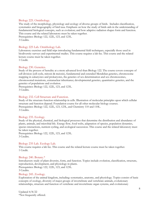# Biology 225. Ornithology.

The study of the morphology, physiology and ecology of diverse groups of birds. Includes classification, systematics and biogeography of bird taxa. Emphasis on how the study of birds aids in the understanding of fundamental biological concepts, such as evolution; and how adaptive radiation shapes form and function. This course and the related laboratory must be taken together. Prerequisites: Biology 122, 122L, 123, and 123L. 3 Credits.

Biology 225 Lab. Ornithology Lab.

Laboratory exercises and field trips introducing fundamental field techniques, especially those used in biodiversity surveys and experimental studies. This course requires a lab fee. This course and the related lecture course must be taken together.

1 Credit.

# Biology 230. Genetics.

Study of the process of heredity at a more advanced level than Biology 122. The course covers concepts of cell division (cell cycle, mitosis & meiosis), fundamental and extended Mendelian genetics, chromosome mapping in eukaryotes and prokaryotes, the genetics of sex determination and sex chromosomes, chromosomal mutations, extranuclear inheritance; developmental genetics, quantitative genetics, and the genetics of populations and evolution.

Prerequisites: Biology 122, 122L, 123, and 123L. 3 Credits.

# Biology 232. Cell Structure and Function.

Study of the structure-function relationship in cells. Illustration of molecular principles upon which cellular structure and function depend. Foundation course for all other molecular biology courses. Prerequisites: Biology 122, 122L, 123, 123L, and Chemistry 110 and 110L. 3 Credits.

# Biology 235. Ecology.

Study of the physical, chemical, and biological processes that determine the distribution and abundance of plants, animals, and microbial life. Energy flow, food webs, adaptation of species, population dynamics, species interactions, nutrient cycling, and ecological succession. This course and the related laboratory must be taken together.

Prerequisites: Biology 122, 122L, 123, and 123L. 3 Credits.

# Biology 235 Lab. Ecology Lab.

This course requires a lab fee. This course and the related lecture course must be taken together. 1 Credit.

# Biology 240. Botany.\*

Introductory study of plant diversity, form, and function. Topics include evolution, classification, structure, reproduction, development, and physiology in plants. Prerequisites: Biology 122, 122L, 123, and 123L. 3 Credits.

# Biology 245. Zoology.

Exploration of the animal kingdom, including: systematics, anatomy, and physiology. Topics consist of basic concepts of zoology, diversity of major groups of invertebrate and vertebrate animals, evolutionary relationships, structure and function of vertebrate and invertebrate organ systems, and evolutionary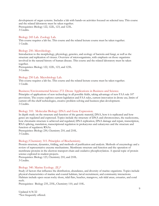development of organ systems. Includes a lab with hands-on activities focused on selected taxa. This course and the related laboratory must be taken together.

Prerequisites: Biology 122, 122L, 123, and 123L. 3 Credits.

# Biology 245 Lab. Zoology Lab.

This course requires a lab fee. This course and the related lecture course must be taken together. 1 Credit.

# Biology 250. Microbiology.

Introduction to the morphology, physiology, genetics, and ecology of bacteria and fungi, as well as the structure and replication of viruses. Overview of microorganisms, with emphasis on those organisms involved in the natural history of human disease. This course and the related laboratory must be taken together.

Prerequisites: Biology 122, 122L, 123, and 123L. 3 Credits.

# Biology 250 Lab. Microbiology Lab.

This course requires a lab fee. This course and the related lecture course must be taken together. 1 Credit.

# Business/Environmental Science 272. Drone Applications in Business and Science.

Principles of applications of new technology in all possible fields, taking advantage of new FAA rule 107 provisions. The course explores current legislation and FAA rules, current innovation in drone use, limits of current off-the-shelf technologies, creative problem solving and business plan development. 3 Credits.

# Biology 310. Molecular Biology: DNA and Gene Expression.

In depth study on the structure and function of the genetic material, DNA, how it is replicated and how genes are regulated and expressed. Topics include the structure of DNA and chromosomes, the nucleosome, how chromatin structure is achieved and regulated, DNA replication, DNA damage and repair, transcription, RNA splicing, translation, transcriptional regulation in prokaryotes and eukaryotes and the structure and function of regulatory RNAs.

Prerequisites: Biology 230, Chemistry 210, and 210L. 3 Credits.

# Biology/Chemistry 315. Principles of Biochemistry.

Protein structure, dynamics, folding, and methods of purification and analysis. Methods of enzymology and a review of representative enzyme mechanisms. Membrane structure and function and the operation of membrane proteins in the electron transport chain and oxidative phosphorylation. A special topic of protein science explored in student projects.

Prerequisites: Biology 123, Chemistry 210, and 210L. 3 Credits.

# Biology 340. Marine Ecology. (IL)\*

Study of factors that influence the distribution, abundance, and diversity of marine organisms. Topics include physical characteristics of marine and coastal habitats, larval recruitment, and community interactions. Habitats include open ocean rocky shore, tidal flats, beaches, mangrove, sub tidal areas, estuaries, and coral reefs.

Prerequisites: Biology 235, 235L, Chemistry 110, and 110L.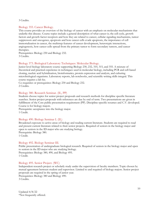3 Credits.

# Biology 355. Cancer Biology.

This course provides an overview of the biology of cancer with an emphasis on molecular mechanisms that underlie this disease. Course topics include a general description of what cancer is; the cell cycle, growth factors and growth factor receptors and how they are related to cancer, cellular signaling mechanisms, tumor suppressors and oncogenes, apoptosis and how cancer cells evade apoptosis, the importance of cell immortalization in cancer, the multistep features of cancer development, heterotypic interactions, angiogenesis, how cancer cells spread from the primary tumor to form secondary tumors, and cancer therapies.

Prerequisites: Biology 230 and Biology 232. 3 Credits.

# Biology 373. Biological Laboratory Techniques: Molecular Biology.

Junior level biology laboratory course supporting Biology 230, 232, 310, 315, and 355. A mixture of theoretical and practical experience in techniques used in molecular biology, including PCR and cell-based cloning, nucleic acid hybridization, bioinformatics, protein expression and analysis, and culturing microbiological organisms. Laboratory reports, lab notebooks, and scientific writing skills integral. This course requires a lab fee.

Co-requisites or prerequisites: Biology 230 and Biology 232. 2 Credits.

# Biology 380. Research Seminar. (IL, PP)

Students choose topics for senior project proposals and research methods for discipline specific literature searches. Senior project proposals with references are due by end of term. Two presentations are given in fulfillment of the Core public presentation requirement (PP). Discipline-specific resumes and C.V. developed. Course is for biology majors.

Prerequisite: acceptance into the biology major. 1 Credit.

# Biology 490. Biology Seminar I. (IL)

Broadened exposure to active areas of biology and reading current literature. Students are required to read and present current literature related to their senior projects. Required of seniors in the biology major and open to seniors in the ID major who are studying biology. Prerequisite: Biology 380.

1 Credit.

# Biology 492. Biology Seminar III.

Public presentation of undergraduate biological research. Required of seniors in the biology major and open to seniors in the ID major who are studying biology. Prerequisites: Biology 380, 490, and Biology 495.

1 Credit.

# Biology 495. Senior Project. (WC)

Independent research project or scholarly study under the supervision of faculty members. Topic chosen by mutual agreement between student and supervisor. Limited to and required of biology majors. Senior project proposals are required in the spring of junior year. Prerequisites: Biology 380 and Biology 490.

3 Credits.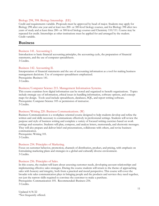# Biology 298, 398. Biology Internship. (EE)

Credit and requirements variable. Proposals must be approved by head of major. Students may apply for Biology 298 after one year and at least two 200- or 300-level biology courses, and for Biology 398 after two years of study and at least three 200- or 300-level biology courses and Chemistry 110/111. Course may be repeated for credit. Internships at other institutions must be applied for and arranged by the student. Credit variable.

# <span id="page-10-0"></span>**Business**

# Business 141. Accounting I.

Introduction to basic financial accounting principles, the accounting cycle, the preparation of financial statements, and the use of computer spreadsheets. 3 Credits.

# Business 142. Accounting II.

Interpretation of financial statements and the use of accounting information as a tool for making business management decisions. Use of computer spreadsheets emphasized. Prerequisite: Business 141. 3 Credits.

# Business/Computer Science 215. Management Information Systems.

This course examines how digital information can be stored and organized to benefit organizations. Topics include strategic use of information, ethical issues in handling information, software options, and concept maps for design. Tools used include spreadsheets, databases, SQL, and report writing software. Prerequisite: Computer Science 105 or permission of instructor. 3 Credits.

# Business/Writing 220. Business Communications. (W)

Business Communications is a workplace-oriented course designed to help students develop and refine the written and oral skills necessary to communicate effectively in professional settings. Students will review the purpose and style of business writing and complete a variety of focused writing exercises based on work settings and scenarios. Students will plan, compose, and analyze letters, memoranda, and electronic messages. They will also prepare and deliver brief oral presentations, collaborate with others, and revise business communication.

Prerequisite: Writing 101. 3 Credits.

# Business 254. Principles of Marketing.

Focus on customer behavior, promotion, channels of distribution, product, and pricing, with emphasis on formulating marketing plans and strategies in a global and culturally diverse environment. 3 Credits.

# Business 256. Principles of Sales.

In this course, the student will learn about assessing customer needs, developing account relationships and implementing effective sales strategies. During the course students will return to the theme of approaching sales with honesty and integrity, both from a practical and moral perspective. This course will cover the broader role sales communication plays in bringing people and the products and services they need together, not just the narrow skills required to convince the customer to make a purchase. Prerequisite: Communication 105. Recommended: Business 254. 3 Credits.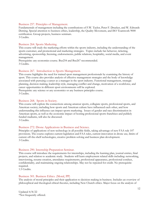## Business 257. Principles of Management.

Fundamentals of management including the contributions of F.W. Taylor, Peter F. Drucker, and W. Edwards Deming. Special attention to business ethics, leadership, the Quality Movement, and ISO Teamwork 9000 certification. Group projects, business seminars. 3 Credits.

## Business 264. Sports Marketing.

This course will study the marketing efforts within the sports industry, including the understanding of the sports customer, and promotional and marketing strategies. Topics include fan behavior, ticketing, advertising, sponsorship, licensing, endorsements, public relations, hospitality, social media, and event management.

Prerequisite: any economics course. Bus254 and Bus267 recommended. 3 Credits.

# Business 267. Introduction to Sports Management.

This course highlights the need for trained sport management professionals by examining the history of sport. This course also provides analysis of effective management strategies and the body of knowledge associated with pursuing a career as a manager in the sport industry. Functional management, strategic planning, decision making, leadership style, managing conflict and change, motivation of a workforce, and career opportunities in different sport environments will be explored.

Prerequisite: any science or any economics or any business principles course. 3 Credits.

# Business 268. Sports in Society.

This course will explore the connections among amateur sports, collegiate sports, professional sports, and American society; including how sports and American culture have influenced each other, and how understanding this influence can impact sports marketing. Issues of gender and race discrimination in American sports, as well as the economic impact of hosting professional sports franchises and publicly funded stadiums, will also be discussed. 3 Credits.

# Business 272. Drone Applications in Business and Science.

Principles of applications of new technology in all possible fields, taking advantage of new FAA rule 107 provisions. The course explores current legislation and FAA rules, current innovation in drone use, limits of current off-the-shelf technologies, creative problem solving and business plan development. 3 Credits.

#### Business 290. Internship Preparation Seminar.

This course will introduce the requirements for internships, including the learning plan, journal entries, final projects, and relation to academic study. Students will learn employment related skills including: networking, interviewing, resume creation, attendance requirements, professional appearance, professional conduct, confidentiality, and maintaining ongoing relationships. May not be repeated for credit. No prerequisite required.

1.5 Credits.

# Business 301. Business Ethics. (Moral, PP)

The analysis of moral principles and their application to decision making in business. Includes an overview of philosophical and theological ethical theories, including New Church ethics. Major focus on the analysis of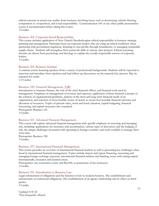ethical concerns in actual case studies from business, involving issues such as downsizing, whistle-blowing, competition vs. cooperation, and social responsibility. Communication 105 or any other public presentation course is recommended before taking this course. 3 Credits.

## Business 302. Corporate Social Responsibility.

This course includes application of New Church/Swedenborgian ethical responsibility in business strategic planning and management. Particular focus on corporate leaders who are using an ethical worldview when partnering with government regulators, donating to non-profits through foundations, or managing sustainable supply chains. Students will strengthen their teamwork skills in various class projects. Ethical reasoning theories are drawn from psychology and theology to explain the socially responsible actions of corporate leaders.

3 Credits.

#### Business 305. Business Seminar.

A seminar course featuring speakers from a variety of professional backgrounds. Students will be expected to interview and introduce these speakers and lead follow-up discussions on the material they present. May be repeated for credit.

1.5 Credits.

#### Business 320. Financial Management. (QR)

Introduction to business finance, the role of the chief financial officer, and financial tools used by management. Emphasis on management of revenue and expenses, application of basic financial concepts to the solution of organizational problems, analysis of the short and long-term financial needs of an organization, and selection of most feasible course of action to secure best possible financial outcome and allocation of resources. Topics of present value, stock and bond valuation, capital budgeting, financial forecasting, and capital structures also examined.

Prerequisite: Business 141. 3 Credits.

#### Business 321. Advanced Financial Management.

This course will explore advanced financial management with specific emphasis on assessing and managing risk, including: applications for insurance and securitization, various types of derivatives and the hedging of risk, the unique challenges associated with operating in foreign countries, and tools available to manage these extra risks.

Prerequisite: Business 320. 3 Credits.

#### Business 327. International Financial Management.

This course provides an overview of international financial markets as well as presenting key challenges often faced in international financial management. Topics include import and export financing, measuring and managing foreign exchange exposure, international financial markets and banking, issues with raising capital internationally, insurance and taxation issues.

Prerequisites: any economics course and Bus320, or permission of the instructor. 3 Credits.

#### Business 351. Introduction to Business Law.

Legal enforcement of obligations and the function of law in modern business. The establishment and enforcement of contractual obligations. The establishment of an agency relationship and its effect on third parties.

3 Credits.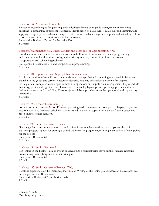## Business 354. Marketing Research.

Review of methodologies for gathering and analyzing information to guide management in marketing decisions. Formulation of problem statements, identification of data sources, data collection, demining and applying the appropriate analysis technique, creation of actionable management reports understanding of how reports are used to make decisions and influence strategy.

Prerequisite: Business 254 and Mathematics 130. 3 Credits.

#### Business/Mathematics 380. Linear Models and Methods for Optimization. (QR)

Introduction to basic methods of operations research. Review of linear systems; linear programming, including the simplex algorithm, duality, and sensitivity analysis; formulation of integer programs; transportation and scheduling problems.

Prerequisite: Mathematics 240 and competence in programming. 3 Credits.

### Business 381. Operations and Supply Chain Management.

In this course, the student will learn the foundational concepts behind converting raw materials, labor, and capital into the goods and services customers demand. Students will explore a variety of managerial techniques and computer technologies common to operations and supply chain management. Topics include inventory, quality and logistics control, transportation, facility layout, process planning, product and service design, forecasting and scheduling. These subjects will be approached from the operational and supervisory perspective.

3 Credits.

#### Business 390. Research Seminar. (IL)

For juniors in the Business Major. Focus on preparing to do the senior capstone project. Explore topics and research questions. Research scholarly sources related to a chosen topic. Formulate draft thesis statement based on interest and research.

2 Credits.

#### Business 493. Senior Literature Review.

General guidance in continuing research and review literature related to the chosen topic for the senior capstone project, Support for crafting a sound and interesting argument, resulting in an outline of main points for the project. Prerequisite: Business 390.

2 Credits.

#### Business 494. Senior Seminar I.

For seniors in the Business Major. Focus on developing a spiritual perspective on the student's capstone project using Swedenborgian and other principles. Prerequisite: Business 390. 1 Credit.

#### Business 495. Senior Capstone Project. (WC)

Capstone experience for the Interdisciplinary Major. Writing of the senior project based on the research and outline produced in Business 493. Prerequisites: Business 493 and Business 494.

2 Credits.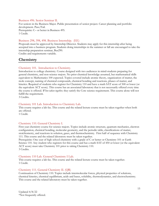#### Business 496. Senior Seminar II.

For seniors in the Business Major. Public presentation of senior project. Career planning and portfolio development. Pass/Fail. Prerequisite: C– or better in Business 495. 1 Credit.

# Business 298, 398, 498. Business Internship. (EE)

Proposals must be approved by Internship Director. Students may apply for this internship after being accepted into a business program. Students doing internships in the summer or fall are encouraged to take the internship preparation seminar, Bus290.

Credits and requirements variable.

# <span id="page-14-0"></span>**Chemistry**

# Chemistry 101. Introduction to Chemistry.

Introduction to college chemistry. Course designed with two audiences in mind-students preparing for general chemistry, and non-science majors. No prior chemical knowledge assumed, but mathematical skills equivalent to Mathematics 100 expected. Topics covered include atomic theory, organization of matter, the mole concept, naming of chemical compounds, chemical bonding and reactions, phases of matter, and kinetics. Required of students who register for Chemistry 110 and have a math SAT score of 500 or lower (or the equivalent ACT score). This course has an associated laboratory that is not necessarily offered every time the course is offered. *When taken together,* they satisfy the Core science requirement. This course alone will not fulfill the requirement.

3 Credits.

# Chemistry 101 Lab. Introduction to Chemistry Lab.

This course requires a lab fee. This course and the related lecture course must be taken together when both are offered.

1 Credit.

# Chemistry 110. General Chemistry I.

First year chemistry course for science majors. Topics include atomic structure, quantum mechanics, electron configuration, chemical bonding, molecular geometry, and the periodic table, classifications of matter, stoichiometry, and reactions in solution, gases, and thermochemistry. First half of sequence with Chemistry 111. This course and the related laboratory must be taken together.

Prerequisite: One year of high school chemistry with a grade of C or better or Chemistry 101 or Earth Science 110. Any student who registers for this course and has a math SAT of 450 or lower (or the equivalent ACT score) must take Chemistry 101 prior to taking Chemistry 110. 3 Credits.

# Chemistry 110 Lab. General Chemistry I Lab.

This course requires a lab fee. This course and the related lecture course must be taken together. 1 Credit.

# Chemistry 111. General Chemistry II. (QR)

Continuation of Chemistry 110. Topics include intermolecular forces, physical properties of solutions, chemical kinetics, chemical equilibrium, acids and bases, solubility, thermodynamics, and electrochemistry. This course and the related laboratory must be taken together.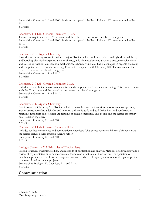Prerequisite: Chemistry 110 and 110L. Students must pass both Chem 110 and 110L in order to take Chem 111.

3 Credits.

# Chemistry 111 Lab. General Chemistry II Lab.

This course requires a lab fee. This course and the related lecture course must be taken together. Prerequisite: Chemistry 110 and 110L. Students must pass both Chem 110 and 110L in order to take Chem 111L.

1 Credit.

# Chemistry 210. Organic Chemistry I.

Second year chemistry course for science majors. Topics include molecular orbital and hybrid orbital theory and bonding, chemical energetics, alkanes, alkenes, halo alkanes, alcohols, alkynes, dienes, stereochemistry, and classes of reactions and reaction mechanisms. Laboratory includes basic techniques in organic chemistry and computer based molecular modeling. First half of sequence with Chemistry 211. This course and the related laboratory must be taken together.

Prerequisite: Chemistry 111 and 111L. 3 Credits.

# Chemistry 210 Lab. Organic Chemistry I Lab.

Includes basic techniques in organic chemistry and computer based molecular modeling. This course requires a lab fee. This course and the related lecture course must be taken together. Prerequisite: Chemistry 111 and 111L.

1 Credit.

# Chemistry 211. Organic Chemistry II.

Continuation of Chemistry 210. Topics include spectrophotometric identification of organic compounds, arenes, esters, epoxides, aldehydes and ketones, carboxylic acids and acid derivatives, and condensation reactions. Emphasis on biological applications of organic chemistry. This course and the related laboratory must be taken together.

Prerequisite: Chemistry 210 and 210L. 3 Credits.

# Chemistry 211 Lab. Organic Chemistry II Lab.

Includes synthetic techniques and computational chemistry. This course requires a lab fee. This course and the related lecture course must be taken together.

Prerequisite: Chemistry 210 and 210L. 1 Credit.

# Biology/Chemistry 315. Principles of Biochemistry.

Protein structure, dynamics, folding, and methods of purification and analysis. Methods of enzymology and a review of representative enzyme mechanisms. Membrane structure and function and the operation of membrane proteins in the electron transport chain and oxidative phosphorylation. A special topic of protein science explored in student projects.

Prerequisites: Biology 232, Chemistry 211, and 211L. 3 Credits.

# <span id="page-15-0"></span>**Communication**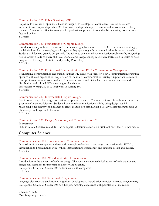# Communication 105. Public Speaking. (PP)

Exposure to a variety of speaking situations designed to develop self-confidence. Class work features impromptu and prepared speeches. Work on voice and speech improvement as well as command of body language. Attention to effective strategies for professional presentations and public speaking, both face-toface and online.

3 Credits.

# Communication 130. Foundations of Graphic Design.

Introductory study of how to create and communicate graphic ideas effectively. Covers elements of design, spatial relationships, typography, and imagery as they apply to graphic communication for print and web. Students will develop graphic design skills (the ability to solve visual communication problems) by integrating Adobe Creative Suite software skills and foundational design concepts. Software instruction in basics of such programs as InDesign, Illustrator, and possibly Photoshop. 3 Credits.

# Communication 225. Professional Communication and PR for Contemporary Workplaces.

Foundational communication and public relations (PR) skills, with focus on how a communications function operates within an organization. Exploration of the role of communications strategy. Opportunities to turn concepts into real-world work products. Attention to social and digital literacies, content creation and distribution, and cultural differences in global audiences.

Prerequisite: Writing 202 or A-level work in Writing 101. 3 Credits.

# Communication 230. Intermediate Graphic Design.

Continuation of graphic design instruction and practice begun in Communications 130, with more emphasis given to software proficiencies. Students hone visual communication skills by using design, spatial relationships, typography, and imagery to create graphic projects in Adobe Creative Suite programs such as Photoshop, InDesign, and Illustrator.

3 Credits.

# Communication 231. Design, Marketing, and Communications.\*

*In development*. Skills in Adobe Creative Cloud. Instructor expertise determines focus on print, online, video, or other media.

# <span id="page-16-0"></span>**Computer Science**

# Computer Science 105. Introduction to Computer Systems.

Discussion of how computers and networks work; introduction to web page construction with HTML; introduction to programming with Python; introduction to spreadsheet and database design and queries. 3 Credits.

#### Computer Science 160. World Wide Web Development.

Introduction to the elements of web site design. The course includes technical aspects of web creation and design considerations for information delivery and usability. Prerequisite: Computer Science 105 or familiarity with computers. 2 Credits.

#### Computer Science 180. Structured Programming.

Language elements and applications. Algorithm development. Introduction to object-oriented programming. Prerequisite: Computer Science 105 or other programming experience with permission of instructor.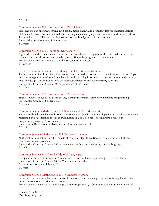3 Credits.

### Computer Science 206. Introduction to Data Science.

Skills and tools in acquiring, organizing, parsing, manipulating, and preparing data for statistical analysis. Skills include classifying unstructured data, cleaning data, identifying useful questions, and simple analysis. Tools include Excel, Python, and Microsoft Business Intelligence software packages. Prerequisite: Any Computer Science course. 3 Credits.

### Computer Science 210. Additional Languages.\*

A guided self-study course in which students learn an additional language or the advanced features of a language they already know. May be taken, with different languages, up to three times. Prerequisite: Computer Science 180 and permission of instructor. 1-3 Credits.

# Business/Computer Science 215. Management Information Systems.

This course examines how digital information can be stored and organized to benefit organizations. Topics include strategic use of information, ethical issues in handling information, software options, and concept maps for design. Tools used include spreadsheets, databases, and report writing software. Prerequisite: Computer Science 105 or permission of instructor. 3 Credits.

#### Computer Science 220. Introduction to Data Structures.

Stacks, Queues, Linked Lists, Trees, Heaps, Sorting, Searching, Complexity, Dynamic programming. Prerequisite: Computer Science 180.

3 Credits.

#### Computer Science/Mathematics 230. Statistics and Data Mining. (QR)

This course builds on what was learned in Mathematics 130 with an eye on big data sets. Techniques include regression and classification methods, culminating in a final project. Throughout the course, the programming language *R* will be used.

Prerequisites: B- or better in Mathematics 130 or Mathematics 330. 3 Credits.

#### Computer Science/Mathematics 235. Discrete Structures.

Mathematical foundations for the analysis of computer algorithms. Recursive functions, graph theory, combinatorics and probability.

Prerequisite: Computer Science 180 or competence with a structured programming language. 3 Credits.

#### Computer Science 260. World Wide Web Languages.

Companion course with Computer Science 160. Projects will involve JavaScript, PHP, and XML. Prerequisite: Computer Science 180 or Computer Science 206. Co-requisite: Computer Science 160. 1 Credit.

# Computer Science/Mathematics 321. Numerical Methods.

Finite differences, interpolation, solutions of equations, numerical integration, curve fitting, linear equations, numerical solutions of differential equations.

Prerequisite: Mathematics 250 and competence in programming. Computer Science 180 recommended.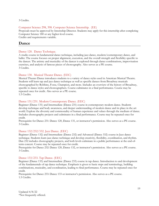3 Credits.

# Computer Science 298, 398. Computer Science Internship. (EE)

Proposals must be approved by Internship Director. Students may apply for this internship after completing Computer Science 180 or any higher-level course. Credits and requirements variable.

# <span id="page-18-0"></span>**Dance**

# Dance 120. Dance Technique.

A studio course in fundamental dance technique, including jazz dance, modern/contemporary dance, and ballet. The course focuses on proper alignment, execution, and the overall strength and flexibility specific to the dancer. The artistry and musicality of the dancer is explored through dance combinations, improvisation exercises, and analysis of famous pieces of choreography. Also serves as a PE course. 3 Credits.

# Dance 130. Musical Theater Dance. (EEC)

Musical Theater Dance introduces students to a variety of dance styles used in American Musical Theatre. Students will learn tap and jazz dance technique as well as specific dances from Broadway musicals choreographed by Robbins, Fosse, Champion, and more. Includes an overview of the history of Broadway, specific to dance styles and choreographers. Course culminates in a final performance. Course may be repeated once for credit. Also serves as a PE course.

1.5 Credits.

# Dance 131/231. Modern Contemporary Dance. (EEC)

Beginner (Dance 131) and Intermediate (Dance 231) course in contemporary modern dance. Students develop technique and body awareness, and deeper understanding of modern dance and its place in the art world. Explore the diversity and commonality of human experience and values through the medium of dance. Includes choreography projects and culminates in a final performance. Course may be repeated once for credit.

Prerequisite for Dance 231: Dance 120, Dance 131, or instructor's permission. Also serves as a PE course. 3 Credits.

# Dance 132/232/332. Jazz Dance. (EEC)

Beginner (Dance 132) and Intermediate (Dance 232) and Advanced (Dance 332) course in Jazz dance technique. Students learn jazz dance technique and develop creativity, flexibility, coordination, and rhythm. Dan 232 includes choreography projects, and both levels culminate in a public performance at the end-ofterm concert. Course may be repeated once for credit.

Prerequisite for Dance 232: Dance 120, Dance 132, or instructor's permission. Also serves as a PE course. 3 Credits.

# Dance 133/233. Tap Dance. (EEC)

Beginner (Dance 133) and Intermediate (Dance 233) course in tap dance. Introduction to and development of the fundamentals of tap dance technique. Emphasis is given to basic steps and terminology, building combinations, musicality, and coordination, leading to final performance. Course may be repeated once for credit.

Prerequisite for Dance 233: Dance 133 or instructor's permission. Also serves as a PE course. 1.5 Credits.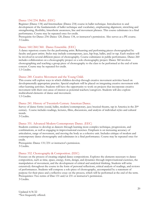# Dance 134/234. Ballet. (EEC)

Beginner (Dance 134) and Intermediate (Dance 234) course in ballet technique. Introduction to and development of the fundamentals of ballet technique and vocabulary, emphasizing alignment, stretching and strengthening, flexibility, kinesthetic awareness, line and movement phrases. This course culminates in a final performance. Course may be repeated once for credit.

Prerequisite for Dance 234: Dance 120, Dance 134, or instructor's permission. Also serves as a PE course. 3 Credits.

#### Dance 160/260/360. Dance Ensemble. (EEC)

A dance repertory course for the performing artist. Rehearsing and performing pieces choreographed by faculty and guest artists. Styles may include contemporary, jazz, hip-hop, ballet, and/or tap. Each student will be involved in several different pieces of choreography. Course culminates in public performance. Dance 260 includes collaboration on a choreography project or a solo choreography project. Dance 360 involves choreographing and teaching a group piece of choreography to the class to be performed at the end of term concert. Course may be repeated for credit.

1.5 Credits.

#### Dance 240. Creative Movement and the Young Child.

This course will explore ways in which children develop through creative movement activities based on developmentally appropriate practice. Special emphasis will be placed on integrating creative movement with other learning activities. Students will have the opportunity to work on projects that incorporate creative movement with their own areas of interest as potential teachers/caregivers. Students will also explore multicultural elements of dance and movement.

1.5 Credits.

#### Dance 241. History of Twentieth-Century American Dance.

Survey of dance forms (social, ballet, modern/contemporary, jazz/musical theatre, tap in America in the 20<sup>th</sup> century. Course includes readings, lectures, films, discussions, and analysis of individual styles and cultural trends.

3 Credits.

#### Dance 331. Advanced Modern Contemporary Dance. (EEC)

Students continue to develop as dancers through learning more complex technique, progressions, and combinations, as well as engaging in improvisational exercises. Emphasis is on increasing accuracy of articulation, range of movement, and moving the body as a cohesive unit. Includes critique of modern and contemporary dance choreography and culminates in a final performance. Course may be repeated once for credit.

Prerequisite: Dance 131/231 or instructor's permission. 3 Credits.

#### Dance 332. Choreography & Composition. (EEC)

Focuses on the process of creating original dance compositions. Explores the elements necessary to dance composition, such as time, space, energy, form, design, and dynamics through improvisational exercises, the manipulation of movement, and the development of critical and analytical thinking. Students will write extensively throughout the course in the form of personal reflections, critical analysis of readings, and reviews of performances. Students will compose a solo piece of choreography, accompanied by a statement of purpose for their piece and a reflective essay on the process, which will be performed at the end of the term. Prerequisites: Two terms of Dan 131 and/or 231 or instructor's permission. 3 Credits.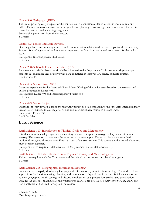# Dance 340. Pedagogy. (EEC)

The use of pedagogical principles for the conduct and organization of dance lessons in modern, jazz and ballet. This course covers instruction strategies, lesson planning, class management, motivation of students, class observations, and a teaching assignment. Prerequisite: permission from the instructor.

3 Credits.

# Dance 493. Senior Literature Review.

General guidance in continuing research and review literature related to the chosen topic for the senior essay. Support for crafting a sound and interesting argument, resulting in an outline of main points for the senior essay.

Prerequisite: Interdisciplinary Studies 390. 2 Credits.

# Dance 298/398/498. Dance Internship. (EE)

Requirements variable. Proposals should be submitted to the Department Chair. Art internships are open to students in sophomore year or above who have completed at least two art, dance, or music courses. Credits variable.

# Dance 495. Senior Essay. (WC)

Capstone experience for the Interdisciplinary Major. Writing of the senior essay based on the research and outline produced in Dance 493.

Prerequisites: Dance 493 and Interdisciplinary Studies 494. 2 Credits.

#### Dance 499. Senior Project.

Independent study toward a dance choreography project to be a companion to the Fine Arts Interdisciplinary Senior Essay. Limited to and required of fine arts interdisciplinary majors in a dance track. Prerequisite: Dance 332. Credit Variable.

# <span id="page-20-0"></span>**Earth Science**

# Earth Science 110. Introduction to Physical Geology and Meteorology.

Introduction to mineralogy; igneous, sedimentary, and metamorphic petrology; rock cycle and structural geology. The evolution of continents Introduction to oceanography. The atmosphere and atmospheric motion, climate, and climatic zones. Earth as a part of the solar system. This course and the related laboratory must be taken together.

Prerequisite or co-requisite: Mathematics 101 (or placement out of Mathematics101). 3 Credits.

Earth Science 110 Lab. Introduction to Physical Geology and Meteorology Lab.

This course requires a lab fee. This course and the related lecture course must be taken together. 1 Credit.

# Earth Science 215. Geographical Information Systems.\*

Fundamentals of rapidly developing Geographical Information System (GIS) technology. The students learn applications for decision making, planning, and presentation of spatial data for many disciplines such as earth science, geography, health, ecology and history. Emphasis on data preparation, analysis and presentation. Includes lab exercises that illustrate the typical steps in a GIS project. ESRI's ArcView or QGIS, and Google Earth software will be used throughout the course.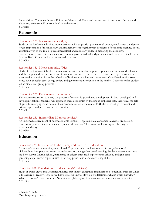Prerequisites: Computer Science 105 or proficiency with Excel and permission of instructor. Lecture and laboratory exercises will be combined in each session. 3 Credits.

# <span id="page-21-0"></span>**Economics**

# Economics 131. Macroeconomics. (QR)

Study of the fundamentals of economic analysis with emphasis upon national output, employment, and price levels. Exploration of the monetary and financial system together with problems of economic stability. Special attention given to the role of government fiscal and monetary policy in managing the economy. Consideration of current issues such as economic growth, federal budget deficits, and the role of the Federal Reserve Bank. Course includes student-led seminars. 3 Credits.

# Economics 132. Microeconomics. (QR)

Study of the fundamentals of economic analysis with particular emphasis upon consumer demand behavior and the output and pricing decisions of business firms under various market structures. Special attention given to the role of ethics in the behavior of business executives and consumers. Consideration of current issues such as health care, energy policy, and government intervention in the market. Course includes studentled seminars and group projects.

3 Credits.

# Economics 231. Development Economics.\*

This course focuses on studying the process of economic growth and development in both developed and developing nations. Students will approach these economies by looking at empirical data, theoretical models of growth, emerging industries and their economic effects, the role of FDI, the effect of government and private capital and government trade policies. 3 Credits.

# Economics 232. Intermediate Microeconomics.\*

An intermediate treatment of microeconomic thinking. Topics include consumer behavior, production, competition, externalities and the entrepreneurial function. This course will also explore the origins of economic theory.

3 Credits.

# <span id="page-21-1"></span>**Education**

# Education 128. Introduction to the Theory and Practice of Education.

Aspects of a career in teaching are explored. Topics include: teaching as a profession, educational philosophies, best practices in classroom instruction, and garden-based learning. Students observe classes at the Bryn Athyn Church School, participate in at least three field trips to other schools, and gain basic gardening experience. Opportunities to develop presentation and storytelling skills. 3 Credits.

# Education 201. Foundations of Education. (Worldviews)

Study of world views and associated theories that impact education. Examination of questions such as: What is the nature of reality? How do we know what we know? How do we determine what is worth knowing? What is of value? Focus on how a New Church philosophy of education affects teachers and students. 3 Credits.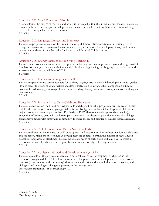## Education 202. Moral Education. (Moral)

After exploring the origins of morality and how it is developed within the individual and society, this course focuses on how to best support moral, pro-social behavior in a school setting. Special attention will be given to the role of storytelling in moral education. 3 Credits.

### Education 217. Language, Literacy, and Numeracy.

This course prepares students for their role in the early childhood classroom. Special attention given to emergent language and language-rich environments; the preconditions for developing literacy; and number sense as a foundation for mathematics. Includes 1 credit hour of ELL instruction. 3 Credits.

### Education 218. Literacy Instruction for Young Learners I.

This course exposes students to theory and practice in literacy instruction, pre-kindergarten through grade 4. Emphasis on emergent literacy, techniques and skills of teaching reading and language arts, evaluation and assessment. Includes 1 credit hour of ELL. 3 Credits.

# Education 219. Literacy for Young Learners II.

This course prepares pre-service teachers for teaching language arts in early childhood (pre-K to 4th grade). How to assess the work of young writers and design instruction to advance their composition skills. Best practices for addressing phonological awareness, decoding, fluency, vocabulary, comprehension, spelling, and handwriting.

3 Credits.

### Education 271. Introduction to Early Childhood Education.

This course focuses on the basic knowledges, skills and dispositions that prepare students to teach in early childhood classrooms. Teaching young children from a background of New Church spiritual philosophy, major theories and cultural perspectives. Emphasis on DAP (developmentally appropriate practice); integration of learning goals with children's play; diversity in the classroom; and the process of building a collaborative model with family and community. Includes theory and practice of Garden-based Learning. 3 Credits.

#### Education 272. Child Development: Birth - Nine Year Olds.

This course looks at how theories of child development and research can inform best practices for childcare and education. Major theories of human development are compared within the context of New Church education. Emphasis on attachment theory, the sensory needs of early childhood, and how to create an environment that helps children develop resilience in an increasingly technological world. 3 Credits.

# Education 274. Adolescent Growth and Development: Ages 8-18.

This course explores the physical, intellectual, emotional, and social development of children as they transition through middle childhood into adolescence. Emphasis on how development occurs in diverse contexts (home, school, and community); developmental theories and research that inform practice; and biological and neurological changes happening in the teenage brain. Prerequisite: Education 128 or Psychology 101.

3 Credits.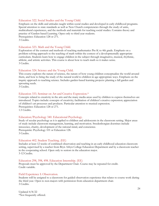## Education 322. Social Studies and the Young Child.

Emphasis on the skills and attitudes taught within social studies and developed in early childhood programs. Special attention to state standards as well as New Church competencies through the study of units, multicultural experiences, and the methods and materials for teaching social studies. Contains theory and practice of Garden-based Learning. Open only to third year students. Prerequisites: Education 128 or 271. 3 Credits.

#### Education 323. Math and the Young Child.

Exploration of the content and methods of teaching mathematics Pre-K to 4th grade. Emphasis on a problem-solving approach to the teaching of math within the context of a developmentally appropriate curriculum. Students learn how to engage children in the subject through imaginative, musical, rhythmic, athletic, and artistic activities. This course is about how to teach math so it makes sense. 3 Credits.

### Education 324. Science and the Young Child.

This course explores the nature of science, the nature of how young children conceptualize the world around them, and how to bring the study of the natural world to children in age-appropriate ways. Emphasis on the inquiry approach to teaching science. Includes garden-based learning projects: planting a fall garden and sprouting seeds.

3 Credits.

#### Education 333. Seminar on Art and Creative Expression.\*

Concepts related to creativity in the arts and the many media areas used by children to express themselves are introduced. Topics include: concepts of creativity; facilitation of children's creative expression; appreciation of children's art processes and products. Particular attention to musical expression. Prerequisites: Education 128 or 271. 1.5 Credits.

#### Education/Psychology 340. Educational Psychology.

Study of secular psychology as it is applied to children and adolescents in the classroom setting. Major areas of study include classroom management, learning, and motivation. Swedenborgian doctrines include innocence, charity, development of the rational mind, and conscience. Prerequisite: Psychology 101 or Education 128. 3 Credits.

#### Education 402. Student Teaching. (EE)

Includes at least 12 weeks of combined observation and teaching in an early childhood education classroom setting, supervised by a teacher from Bryn Athyn College Education Department and by a classroom teacher in the cooperating school. Open only to seniors in the education major. 3-12 Credits.

#### Education 298, 398, 498. Education Internship. (EE)

Proposals must be approved by the Department Chair. Course may be repeated for credit. Credit variable.

#### Field Experience I: Observation.

Students will be assigned to a classroom for guided observation experience that relates to course work during the third year. Open to non-majors with permission from education department chair. 3 Credits.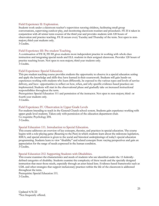# Field Experience II: Exploration.

Students work under a classroom teacher's supervision tutoring children, facilitating small group conversations, supervising outdoor play, and monitoring classroom routines and procedures. FE II is taken in conjunction with all winter term courses of the third year and provides students with 120 hours of observation and practice teaching. FE II occurs every Tuesday and Thursday of the term. Not open to nonmajors; third-year students only. 3 Credits.

# Field Experience III: Pre-student Teaching.

A continuation of FE II, FE III gives students more independent practice in working with whole class instruction and integrating special needs and ELL students in their assigned classroom. Provides 120 hours of practice teaching hours. Not open to non-majors; third-year students only. 3 Credits.

# Field Experience: Special Education.

This pre-student teaching course provides students the opportunity to observe in a special education setting and apply the knowledge and skills they have learned in their coursework. Students will gain hands-on experiences working with students who learn differently, be exposed to the various types and levels of service delivery, and have opportunities to reflect on how, when, and why specific evidence-based practices are implemented. Students will start in the observational phase and gradually take on increased instructional responsibilities throughout the term.

Prerequisites: Special Education 111 and permission of the instructor. Not open to non-majors; third- or fourth-year students only.

3 Credits.

# Field Experience IV. Observation in Upper Grade Levels

For students intending to teach in the General Church school system. Students gain experience working with upper grade level students. Taken only with permission of the education department chair. Co-requisite: Psychology 204. 3 Credits.

# Special Education 111. Introduction to Special Education.

This course addresses an overview of key concepts, theories, and practices in special education. The course begins with a role-playing game (Reacting to the Past) in which students learn about the milestone legislation, IDEA, and special attention is given to the social and historical underpinnings of today's special education programming. Students learn to view "disability" and related concepts from varying perspectives and gain an appreciation for the range of needs expressed in the human condition. 3 Credits.

# Special Education 212. Supporting Students with Disabilities.

This course examines the characteristics and needs of students who are identified under the 13 federallydefined categories of disability. Students examine the complexity of these needs and the specially designed instruction that meet those needs, especially through an asset-based lens. Evidence-based frameworks such as UDL and other strategies that support inclusionary practices within the life of the classroom is addressed throughout the term.

Prerequisite: Special Education 111. 3 Credits.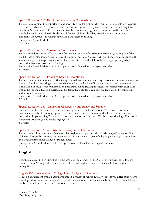# Special Education 213. Family and Community Partnerships.

This course examines the importance and necessity of collaboration when serving all students, and especially those with disabilities. Addresses the skills and knowledge needed by teachers and interdisciplinary team members. Strategies for collaborating with families, community agencies, educational staff, and other stakeholders will be explored. Students will develop skills for building effective teams, improving communication, problem-solving, advocating and decision-making. Prerequisite: Special Ed 111.

3 Credits.

## Special Education 312. Classroom Assessments.

This course addresses the effective use of assessment as part of classroom instruction, and as part of the eligibility determination process for special education services. Students will gain hands-on experience with administering and interpreting a variety of assessment tools and will learn how to appropriately adapt instruction based on assessment findings.

Prerequisite: Special Education 111 and permission of the education department chair. 3 Credits.

### Special Education 313. Evidence-based Interventions.

This course examines models of effective specialized instruction in a variety of content areas, with a focus on literacy. Emphasis on using assessment data to inform and guide effective instruction and intervention. Exploration of multi-sensory methods and programs for addressing the needs of students with disabilities within the general education curriculum. Undergraduate students can earn graduate credit by completing additional coursework.

Prerequisite: Special Education 111 and permission of the education department chair. 3 Credits.

#### Special Education 331. Classroom Management and Behavioral Support.

Examination of what it means to lead and manage a differentiated classroom. Addresses classroom management skills of fostering a positive learning environment; planning and delivering assessment-driven instruction. Implementing Positive Behavior Intervention and Support (PBIS) and conducting a Functional Behavioral Analysis (FBA) will be highlighted. 3 Credits.

#### Special Education 334. Assistive Technology in the Classroom.

This course explores a variety of technologies used to assist persons with a wide range of exceptionalities. Universal Design for Learning is at the core of this course with a goal of adapting technology, instruction, and assessment to meet a range of student needs.

Prerequisites: Special Education 111 and permission of the education department chair. 1 Credit.

# <span id="page-25-0"></span>**English**

Literature courses in this discipline fill the aesthetic requirement of the Core Program. 200-level English courses require Writing 101 as prerequisite. 300+-level English courses require a 200-level English as prerequisite.

#### English 105. Introduction to College-Level Analysis of Literature.

Focus on engagement with a particular theme in a variety of genres. Literary content will differ from year to year, depending on instructor expertise. Specific title announced in the course bulletin when offered. Course can be repeated once for credit when topic changes.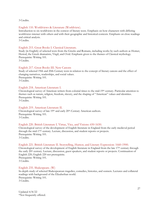3 Credits.

## English 110. Worldviews & Literature (Worldview).

Introduction to six worldviews in the context of literary texts. Emphasis on how characters with differing worldviews interact with others and with their geographic and historical contexts. Emphasis on close readings and critical analysis.

3 Credits.

### English 215. Great Books I. Classical Literature.

Study (in English) of selected texts from the Greeks and Romans, including works by such authors as Homer, Hesiod, the Greek dramatists, Virgil, and Ovid. Emphasis given to the themes of Classical mythology. Prerequisite: Writing 101. 3 Credits.

### English 217. Great Books III. New Canons

Study of selected 19rh and 20th Century texts in relation to the concept of literary canons and the effect of changing narratives, readerships, and social values. Prerequisite: Writing 101. 3 Credits.

#### English 218. American Literature I.

Chronological survey of American writers from colonial times to the mid-19th century. Particular attention to themes such as nature, religion, freedom, slavery, and the shaping of "American" values and identities. Prerequisite: Writing 101. 3 Credits.

# English 219. American Literature II.

Chronological survey of late 19<sup>th</sup> and early 20<sup>th</sup>-Century American authors. Prerequisite: Writing 101. 3 Credits.

#### English 220. British Literature I. Virtue, Vice, and Visions: 650-1650.

Chronological survey of the development of English literature in England from the early medieval period through the mid-17th century. Lecture, discussion, and student reports or projects. Prerequisite: Writing 101. 3 Credits.

#### English 221. British Literature II. Storytelling, Humor, and Literary Expression: 1660-1900.

Chronological survey of the development of English literature in England from the late  $17<sup>th</sup>$  century through the early 20<sup>th</sup> century. Lecture, discussion, guest speakers, and student reports or projects. Continuation of English 220; English 220 not prerequisite. Prerequisite: Writing 101. 3 Credits.

#### English 235. Shakespeare. (W)

In-depth study of selected Shakespearean tragedies, comedies, histories, and sonnets. Lectures and collateral readings with background of the Elizabethan world. Prerequisite: Writing 101. 3 Credits.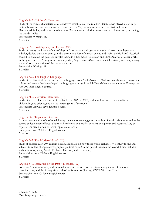# English 245. Children's Literature.

Study of the textual characteristics of children's literature and the role this literature has played historically. Picture books, readers, stories, and adventure novels. May include authors such as Caxton, Grimm, MacDonald, Milne, and New Church writers. Written work includes projects and a children's story reflecting the trends studied. Prerequisite: Writing 101. 3 Credits.

# English 255. Post-Apocalyptic Fiction. (W)

Study of literary depictions of end-of-days and post-apocalyptic genre. Analysis of texts through plot and subplot, device, character, setting, and author intent. Use of current events and social, political, and historical context to examine the post-apocalyptic theme in other media (television and film). Analysis of other works in the genre, such as Young Adult counterparts (*Hunger Games*, *Maze Runner*, etc*.*). Creative project expressing student's own perception of the post-apocalypse. Prerequisite: Writing 101.

3 Credits.

# English 320. The English Language.

Study of the historical development of the language from Anglo-Saxon to Modern English, with focus on the culture and events that have shaped the language and ways in which English has shaped cultures. Prerequisite: Any 200-level English course.

3 Credits.

### English 360. Victorian Literature. (IL)

Study of selected literary figures of England from 1830 to 1900, with emphasis on trends in religion, philosophy, and science, and on the literary genre of the novel. Prerequisite: Any 200-level English course. 3 Credits.

#### English 365. Topics in Literature.

In depth examination of a selected literary theme, movement, genre, or author. Specific title announced in the course bulletin when offered. Topics will make use of a professor's area of expertise and research. May be repeated for credit when different topics are offered. Prerequisite: Any 200-level English course.

3 credits.

# English 367. The Modern Novel. (IL)

Study of selected early 20<sup>th</sup>-century novels. Emphasis on how these works reshape 19<sup>th</sup>-century forms and subjects to reflect changes (demographic, political, social) in the period between the World Wars. Includes such writers as James, Woolf, Faulkner, Hurston, and Hemingway. Prerequisites: Any 200-level English course. 3 Credits.

#### English 370. Literature of the Past 4 Decades. (W)

Focus on American novels, with selected shorts stories and poems. Overarching theme of memory, consciousness, and the literary aftermath of social trauma (Slavery, WWII, Vietnam, 911). Prerequisite: Any 200-level English course. 3 Credits.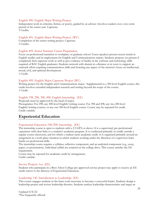# English 490. English Major Writing Project.

Independent work in criticism, fiction, or poetry, guided by an advisor. Involves student over a two-term period of the senior year. Capstone. 3 Credits.

English 491. English Major Writing Project. (WC)

Completion of the senior writing project. Capstone. 3 Credits.

### English 495. Senior Seminar: Career Preparation.

Focus on professional transition to workplace or graduate school. Guest speakers present recent trends in English studies and in employment for English and Communications majors. Students propose (or present if completed) their capstone work as well as give evidence of facility in the software and technology skills required of BAC English graduates. Students network with alumni at a distance or in town to support an outreach effort requiring communication skills and fostering any aspect of the mission's focus on intellectual, moral, civil, and spiritual development.

1 Credit.

# English 499. English Major Capstone Project (WC)

Writing project for the English and Communications major. Supplemental to a 300-level English course, this credit involves extended independent research and writing beyond the scope of the course. 1 Credit.

# English 198, 298, 398, 498. English Internship. (EE)

Proposals must be approved by the head of major. Prerequisites: For 298, any 200-level English/writing course. For 398 and 498, any two 200-level English/writing courses, or any one 300-level English course. Course may be repeated for credit. Credit variable.

# <span id="page-28-0"></span>**Experiential Education**

# Experiential Education 198/298. Internship. (EE)

The internship course is open to students with a 2.5 GPA or above. It is a supervised, pre-professional experience with clear links to a student's academic program. It is conducted primarily or totally outside a regular course classroom, and for which a student earns academic credit. It is organized primarily around an assignment in a work-place situation in which students working under the direction of a supervisor learn hands-on professional skills.

The internship course requires a syllabus, reflective component, and an analytical component (e.g., essay, paper, or presentation). Individual syllabi are retained on the college drive. This course satisfies the EE requirement.

Course may be repeated for academic credit by arrangement. Credit variable.

# Service Projects 1xx. (EE)

Students who participate in a Bryn Athyn College pre-approved service project may apply to receive an EE credit waiver to the director of Experiential Education.

# Leadership 130. Introduction to Leadership. (EE)

This course engages students in the basic tools necessary to become a successful leader. Students design a leadership project and review leadership theories. Students analyze leadership characteristics and target an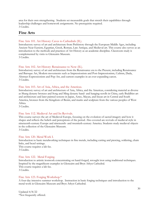area for their own strengthening. Students set measurable goals that stretch their capabilities through leadership challenges and homework assignments. No prerequisite required. 3 Credits.

# <span id="page-29-0"></span>**Fine Arts**

# Fine Arts 101. Art History: Caves to Cathedrals (IL).

Introductory survey of art and architecture from Prehistory through the European Middle Ages, including Ancient Near Eastern, Egyptian, Greek, Roman, Late Antique, and Medieval art. This course also serves as an introduction to the methods and practices of Art History as an academic discipline. Classroom study is complemented by visits to Glencairn Museum. 3 Credits.

# Fine Arts 102. Art History: Renaissance to Now (IL).

Introductory survey of art and architecture from the Renaissance era to the Present, including Renaissance and Baroque Art, Modern movements such as Impressionism and Post-Impressionism, Cubism, Dada, Abstract Expressionism and Pop-Art, and current examples in an ever-expanding canon. 3 Credits.

# Fine Arts 103. Art of Asia, Africa, and the Americas.

Introductory survey of art and architecture of Asia, Africa, and the Americas, considering material as diverse as Shang dynasty bronzes and Song and Ming dynasty hand- and hanging-scrolls in China, early Buddhist art and architecture and later painted screens in Japan, Aztec, Mayan, and Incan art in Central and South America, bronzes from the Kingdom of Benin, and masks and sculpture from the various peoples of West Africa.

3 Credits.

# Fine Arts 112. Medieval Art and Its Revivals.

This course surveys the art of Medieval Europe, focusing on the evolution of sacred imagery and how it shapes and reflects the beliefs and perceptions of the period. Also covered are revivals of medieval style in nineteenth-century Europe and nineteenth- and twentieth-century America. Students study medieval objects in the collection of the Glencairn Museum. 3 Credits.

# Fine Arts 120. Metal Work I.

Introduction to basic metalworking techniques in fine metals, including cutting and piercing, soldering, chain links, and bezel settings. This course requires a lab fee.

3 Credits.

# Fine Arts 122. Metal Forging.

Introduction to artistic ironwork concentrating on hand-forged, wrought iron using traditional techniques. Inspired by the magnificent examples in Glencairn and Bryn Athyn Cathedral. This course requires a lab fee. 3 Credits.

# Fine Arts 123. Forging Workshop.\*

A four-day intensive summer workshop. Instruction in basic forging techniques and introduction to the metal work in Glencairn Museum and Bryn Athyn Cathedral.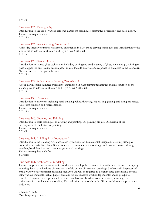1 Credit.

# Fine Arts 125. Photography.

Introduction to the use of various cameras, darkroom techniques, alternative processing, and basic design. This course requires a lab fee. 3 Credits.

# Fine Arts 126. Stone Carving Workshop.\*

A five-day intensive summer workshop. Instruction in basic stone carving techniques and introduction to the stonework in Glencairn Museum and Bryn Athyn Cathedral. 1 Credit.

# Fine Arts 128. Stained Glass I.

Introduction to stained glass techniques, including cutting and cold-shaping of glass, panel design, painting on glass, copper foil and leading techniques. Projects include study of and response to examples in the Glencairn Museum and Bryn Athyn Cathedral.

3 Credits.

# Fine Arts 129. Stained Glass Painting Workshop.\*

A four-day intensive summer workshop. Instruction in glass painting techniques and introduction to the stained glass in Glencairn Museum and Bryn Athyn Cathedral. 1 Credit.

# Fine Arts 130. Ceramics.

Introduction to clay work including hand building, wheel throwing, slip casting, glazing, and firing processes. Also form function and representation.

This course requires a lab fee. 3 Credits.

# Fine Arts 140. Drawing and Painting.

Introduction to basic techniques in drawing and painting. Oil painting project. Discussion of the development of the history of painting. This course requires a lab fee. 3 Credits.

# Fine Arts 141. Building Arts Foundation I.

Introduction to the Building Arts curriculum by focusing on fundamental design and drawing principles essential to all craft disciplines. Students learn to communicate ideas, design and execute projects through sketches, hand drawings and computer-generated drawings.

This course requires a lab fee. 3 Credits.

# Fine Arts 151. Architectural Modeling.

This course provides opportunities for students to develop their visualization skills in architectural design by requiring them to make three-dimensional models of two-dimensional drawings. Students will be presented with a variety of architectural modeling scenarios and will be required to develop three-dimensional models using various materials such as paper, clay, and wood. Students work independently and in groups to complete design scenarios presented to them. Emphasis is placed on communication, accuracy, and craftsmanship in architectural modeling. The collection and models in the Glencairn Museum support these endeavors.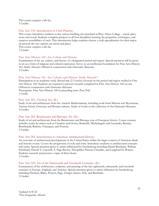This course requires a lab fee. 3 Credits.

# Fine Arts 155. Introduction to Craft Practice.

This course introduces students to the various building arts practiced at Bryn Athyn College – metal, glass, stone and wood. Students complete projects in all four disciplines learning the properties, techniques, and creatives possibilities of each. This introduction helps students choose a craft specialization for their major. (at present the two options are metal and glass). This course requires a lab fee.

3 Credits.

# Fine Arts/History 160. Art, Culture and History.

Examination of the art, culture, and history of a designated period and region. Special attention will be given to art as a form of religious and cultural expression. Serves as an intellectual foundation for Fine Arts/History 161: Study Abroad. Offered in conjunction with Glencairn Museum. 3 Credits.

# Fine Arts/History 161. Art, Culture, and History: Study Abroad.\*

Participation in an academic study abroad trip (2-3 weeks) focused on the period and region studied in Fine Art/History 160. Students are required to present research completed in Fine Arts/History 160 on site. Offered in conjunction with Glencairn Museum.

Prerequisite: Fine Arts/History 160 in preceding term. Pass/Fail. 1 Credit.

# Fine Arts 201. Classical Art. (IL)

Study of art and architecture from the Ancient Mediterranean, including work from Minoan and Mycenaean, Ancient Greek, Etruscan, and Roman cultures. Study of works in the collection of the Glencairn Museum. 3 Credits.

# Fine Arts 202. Renaissance and Baroque Art. (IL)

Study of art and architecture from the Renaissance and Baroque eras of European history. Course content includes works by artists such as Cimabue and Giotto, Botticelli, Michelangelo and Leonardo, Bernini, Rembrandt, Rubens, Velazquez, and Poussin. 3 Credits.

# Fine Arts 205. Introduction to American Architectural History.

An overview of architectural developments in the United States within the larger context of American ideals and historic events. Covers the progression of style and form. Introduces students to architectural concepts and terms. Special attention given to artists influenced by Swedenborg including Daniel Burnham, William Strickland, Harold T. Carswell, A. Page Brown, Theophilus Parsons Chandler, and Langford H. Warren. Students research and present a topic of their choice. 3 Credits.

# Fine Arts 210. Art of the Nineteenth and Twentieth Centuries. (IL)

Examination of the architecture, sculpture, and painting of the late eighteenth, nineteenth, and twentieth centuries in Europe, England, and America. Special attention given to artists influences by Swedenborg, including Flaxman, Blake, Powers, Page, Gaugin, Inness, Pyle, and Burnham. 3 Credits.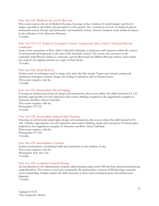# Fine Arts 212. Medieval Art and Its Revivals.

This course surveys the art of Medieval Europe, focusing on the evolution of sacred imagery and how it shapes and reflects the beliefs and perceptions of the period. Also covered are revivals of medieval style in nineteenth-century Europe and nineteenth- and twentieth-century America. Students study medieval objects in the collection of the Glencairn Museum.

3 Credits.

# Fine Arts 213/313. Topics in Twentieth-Century Architecture: Bryn Athyn's National Historic Landmarks.

Study of the conception of Bryn Athyn Cathedral, Glencairn, Cairnwood, and Cairncrest within the context of architectural developments at the turn of the twentieth century. The course uses resources in the Cathedral, John Pitcairn Archives, Glencairn, and the Raymond and Mildred Pitcairn archives, from which the students do original research on a topic of their choice. 3 Credits.

# Fine Arts 220. Metal Work II.

Further study in techniques used to shape, join, and color fine metals. Topics may include casting and fabrication techniques, enamel, hinges, the setting of cabochon and/or faceted stones. This course requires a lab fee. 3 Credits.

# Fine Arts 222. Intermediate Metal Forging.

Focusing on architectural ironwork design and construction, this course refines the skills learned in FA 122. Includes opportunities for self-expression and creative thinking. Inspired by the magnificent examples in Glencairn and Bryn Athyn Cathedral. This course requires a lab fee.

Prerequisite: FA 122. 3 Credits.

# Fine Arts 228. Intermediate Stained Glass Painting

Focusing on architectural stained glass design and construction, this course refines the skills learned in FA 128. Includes opportunities for self-expression and creative thinking, repair and restoration of historic glass. Inspired by the magnificent examples in Glencairn and Bryn Athyn Cathedral. This course requires a lab fee. Prerequisite: FA 128. 3 Credits.

# Fine Arts 230. Intermediate Ceramics.

Further development of individual skills and sensitivities in the medium of clay. This course requires a lab fee. Prerequisite: Fine Arts 130. 3 Credits.

# Fine Arts 232. Computer Assisted Design.

An introduction to two-dimensional computer aided drawing using AutoCAD and three-dimensional drawing using SketchUp. The course covers basic commands, file maintenance, creation of 2D drawings, isometric views and plotting. Student acquire the skills necessary to draw basic mechanical parts and architectural diagrams.

3 Credits.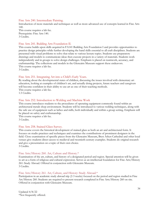### Fine Arts 240. Intermediate Painting.

Introduction of more materials and techniques as well as more advanced use of concepts learned in Fine Arts 140. This course requires a lab fee.

Prerequisite: Fine Arts 140. 3 Credits.

## Fine Arts 241. Building Arts Foundation II.

This course builds upon skills acquired in FA141 Building Arts Foundation I and provides opportunities to practice design principles while further developing the hand skills essential to all craft disciplines. Students are presented with visual problems to solve that relate to various lecture topics. Students use preparatory drawings and models to communicate ideas then execute projects in a variety of materials. Students work independently and in groups to solve design challenges. Emphasis is placed on teamwork, accuracy, and craftsmanship. The collections and models in the Glencairn Museum support these endeavors. This course requires a lab fee.

3 Credits.

### Fine Arts 251. Integrating Art into a Child's Early Years.

By reading about the developmental states of children, discussing the issues involved with elementary art education, looking at examples of children's art, and actually doing projects, future teachers and caregivers will become confident in their ability to use art as one of their teaching methods. This course requires a lab fee. 1.5 Credits.

### Fine Arts 252. Introduction to Welding and Machine Work

This course introduces students to the procedures of operating equipment commonly found within an architectural metals shop environment. Students will be introduced to various welding techniques, along with the safe use of equipment such as lathes and mills, both individually and within a group setting. Emphasis will be placed on safety and craftsmanship.

This course requires a lab fee. 3 Credits.

#### Fine Arts 258. Stained Glass Survey.

This course covers the historical development of stained glass as both an art and architectural form. It focuses on studio practices and techniques and examines the contributions of prominent designers in the field. Close examination of specific pieces from the Glencairn Museum, Bryn Athyn Cathedral and other local venues give students direct access to medieval and twentieth-century examples. Students do original research and give a presentation on a topic of their own choice. 3 Credits.

#### Fine Arts/History 260. Art, Culture and History.\*

Examination of the art, culture, and history of a designated period and region. Special attention will be given to art as a form of religious and cultural expression. Serves as an intellectual foundation for Fine Arts/History 261: Study Abroad. Offered in conjunction with Glencairn Museum. 3 Credits.

# Fine Arts/History 261. Art, Culture, and History: Study Abroad.\*

Participation in an academic study abroad trip (2-3 weeks) focused on the period and region studied in Fine Art/History 260. Students are required to present research completed in Fine Arts/History 260 on site. Offered in conjunction with Glencairn Museum.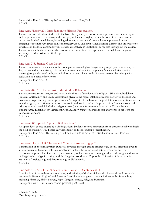Prerequisite: Fine Arts/History 260 in preceding term. Pass/Fail. 1 Credit.

# Fine Arts/History 271. Introduction to Historic Preservation.

This course will introduce students to the basic theory and practice of historic preservation. Major topics include preservation terminology and concepts, architectural styles, and the history of the preservation movement in the United States, including advocacy, government's role in historic preservation, and emerging/contemporary issues in historic preservation. The Bryn Athyn Historic District and other historic structures in the local community will be used extensively as illustrations for topics throughout the course. This is not a methods and materials conservation course. Material is presented through lectures, guest lectures, class discussion and field trips. 3 Credits.

# Fine Arts 278. Stained Glass Design

This course introduces students to the principles of stained glass design, using simple panels as examples. Topics covered include sizing, color selection, structural stability and pricing. Students design a series of stained glass panels based on hypothetical locations and client needs. Students present their designs for evaluation to a panel of reviewers. Prerequisite: Fine Arts 128 3 Credits.

# Fine Arts 282. Art History: Art of the World's Religions.

This course focuses on imagery and narrative in the art of the five world religions: Hinduism, Buddhism, Judaism, Christianity, and Islam. Attention is given to the representation of sacred narratives, theories and practices of representing various persons and/or aspects of the Divine, the prohibition of and justification for sacred imagery, and differences between aniconic and iconic modes of representation. Students work with primary source material, including religious texts (selections from translations of the Vishnu Purana, Buddhacarita, Tanakh, New Testament, Qur'an, and Writings of Swedenborg) and works of art from the Glencairn Museum.

3 Credits.

# Fine Arts 305. Special Topics in Building Arts.\*

An upper-level course taught by a visiting artisan. Students receive instruction from a professional working in the field of Building Arts. Topics vary depending on the instructor's specialization. Prerequisite: Fine Arts 141: Building Arts Foundation; Fine Arts 155: Introduction to Craft Practice. 3 Credits.

# Fine Arts/History 308. The Art and Culture of Ancient Egypt.\*

Examination of ancient Egyptian culture as revealed through art and archaeology. Special attention given to art as a source of historical information. Topics include the influence of natural resources and the environment, principles of artistic representation, problems with interpreting evidence, the origin and nature of Egyptian hieroglyphic writing, and the Egyptian world view. Trip to the University of Pennsylvania Museum of Archaeology and Anthropology in Philadelphia. 3 Credits.

# Fine Arts 310. Art of the Nineteenth and Twentieth-Centuries. (IL)

Examination of the architecture, sculpture, and painting of the late eighteenth, nineteenth, and twentieth centuries in Europe, England and America. Special attention given to artists influenced by Swedenborg, including Flaxman, Blake, Powers, Page, Gauguin, Inness, Pyle, and Burnham. Prerequisite: Any IL art history course, preferably 200 level.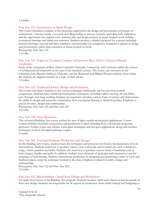3 Credits.

# Fine Arts 312. Introduction to Metal Design.

This course introduces students to the processes employed in the design and presentation of projects in architectural / ferrous metals – iron and steel. Responding to various scenarios, including both replication and the opportunity for original work, students plan and design projects in metal. Student work includes conceptual drawings and initial cost estimates. Students produce a detailed proposal for a project including finished drawings, material and labor estimates, and timetables for completion. Emphasis is placed on design and presentation, rather than execution of actual projects in metal. Prerequisite: Fine Arts 122.

3 Credits.

# Fine Arts 313. Topics in Twentieth-Century Architecture: Bryn Athyn's National Historic Landmarks.

Study of the conception of Bryn Athyn Cathedral, Glencairn, Cairnwood, and Cairncrest within the context of architectural developments at the turn of the twentieth century. The course uses resources in the Cathedral, John Pitcairn Archives, Glencairn, and the Raymond and Mildred Pitcairn archives, from which the students do original research on a topic of their choice. 3 Credits.

# Fine Arts 322. Traditional Joinery Design and Production.

This course introduces students to the various techniques traditionally used to join ferrous metal components. Students learn traditional metal joinery techniques, including collars, riveting, slit and drifts, pass-throughs and forge welding. Students are required to produce various forms of joinery and demonstrate the ability to design and construct a metal piece from conceptual drawing to finished product. Emphasis is placed on safety, design and craftmanship.

Prerequisite: Fine Arts 122 and Fine Arts 222. 3 Credits.

#### Fine Arts 328. Glass Dynamics.

This advanced Building Arts course teaches the uses of glass outside architectural applications. Course content includes structural composition and production of glass including float, colored and tempering processes. Further topics may include warm glass techniques and hot glass applications, along with modern techniques of decal and digital printing on glass. 3 credits.

# Fine Arts 342. Tool and Hardware Production and Design.\*

In this Building Arts course, students learn the techniques and processes involved in the production of tools and hardware. Students learn how to produce various tools commonly used in metal arts such as hammers, tongs, chisels, punches and drifts. Students also learn how to produce various forms of hardware such as locks, hinges, handles and pulls. In addition, students learn elements of jig design and construction and the technique of heat treating. Students demonstrate proficiency by designing and producing a series of tools and hardware pieces using the techniques learned in the class. Emphasis is placed on safety, design and craftmanship.

Prerequisite: Fine Arts 122 and Fine Arts 222. 3 Credits.

# Fine Arts 422. Blacksmithing – Small Scale Design and Production.\*

An upper-level course in the Building Arts program. Students produce small scale objects in ferrous metals of their own design. Students are responsible for all aspects of production, from initial concept and budgeting to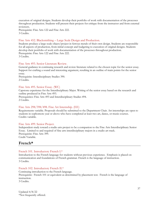execution of original designs. Students develop their portfolio of work with documentation of the processes throughout production. Students will present their projects for critique from the instructor and from external reviewers.

Prerequisite: Fine Arts 122 and Fine Arts 222. 3 Credits.

### Fine Arts 452. Blacksmithing – Large Scale Design and Production.

Students produce a large-scale object/project in ferrous metals of their own design. Students are responsible for all aspects of production, from initial concept and budgeting to execution of original designs. Students develop their portfolio of work with documentation of the processes throughout production. Prerequisite: Fine Arts 122 and Fine Arts 222. 3 Credits.

#### Fine Arts 493. Senior Literature Review.

General guidance in continuing research and review literature related to the chosen topic for the senior essay. Support for crafting a sound and interesting argument, resulting in an outline of main points for the senior essay.

Prerequisite: Interdisciplinary Studies 390. 2 Credits.

#### Fine Arts 495. Senior Essay. (WC)

Capstone experience for the Interdisciplinary Major. Writing of the senior essay based on the research and outline produced in Fine Arts 493.

Prerequisites: Fine Arts 493 and Interdisciplinary Studies 494. 2 Credits.

#### Fine Arts 298/398/498. Fine Art Internship. (EE)

Requirements variable. Proposals should be submitted to the Department Chair. Art internships are open to students in sophomore year or above who have completed at least two art, dance, or music courses. Credits variable.

#### Fine Arts 499. Senior Project.

Independent study toward a studio arts project to be a companion to the Fine Arts Interdisciplinary Senior Essay. Limited to and required of fine arts interdisciplinary majors in a studio art track. Prerequisite: Fine Arts 399. Credit Variable.

## **French\***

#### French 101. Introductory French I.\*

Introduction to the French language for students without previous experience. Emphasis is placed on communication and foundations of French grammar. French is the language of instruction. 3 Credits.

#### French 102. Introductory French II.\*

Continuing introduction to the French language. Prerequisite: French 101 or equivalent as determined by placement test. French is the language of instruction. 3 Credits.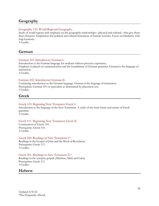## **Geography**

## Geography 110. World Regional Geography.

Study of world regions with emphasis on the geographic relationships—physical and cultural—that give them their character. Emphasizes the political and cultural formations of human societies. Focus on familiarity with map locations.

3 Credits.

## **German**

## German 101. Introductory German I.

Introduction to the German language for students without previous experience. Emphasis is placed on communication and the foundations of German grammar. German is the language of instruction.

3 Credits.

## German 102. Introductory German II.

Continuing introduction to the German language. German is the language of instruction. Prerequisite: German 101 or equivalent as determined by placement test. 3 Credits.

## **Greek**

## Greek 110. Beginning New Testament Greek I.

Introduction to the language of the New Testament. A study of the basic forms and syntax of Greek grammar.

3 Credits.

## Greek 111. Beginning New Testament Greek II.

Continuation of Greek 110. Prerequisite: Greek 110. 3 Credits.

#### Greek 250. Readings in New Testament I.\*

Readings in the Gospel of John and the Book of Revelation. Prerequisite: Greek 111. 3 Credits.

## Greek 251. Readings in New Testament II.\*

Readings in the synoptic gospels (Matthew, Mark and Luke). Prerequisite: Greek 111. 3 Credits.

## **Hebrew**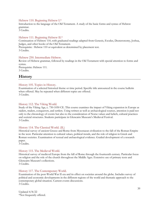#### Hebrew 110. Beginning Hebrew I.\*

Introduction to the language of the Old Testament. A study of the basic forms and syntax of Hebrew grammar.

3 Credits.

### Hebrew 111. Beginning Hebrew II.\*

Continuation of Hebrew 110, with graduated readings adapted from Genesis, Exodus, Deuteronomy, Joshua, Judges, and other books of the Old Testament.

Prerequisite: Hebrew 110 or equivalent as determined by placement test. 3 Credits.

## Hebrew 250. Intermediate Hebrew.

Review of Hebrew grammar, followed by readings in the Old Testament with special attention to forms and syntax. Prerequisite: Hebrew 111. 3 Credits.

## **History**

## History 105. Topics in History.

Examination of a selected historical theme or time period. Specific title announced in the course bulletin when offered. May be repeated when different topics are offered. 3 Credits.

### History 112. The Viking World.

Study of the Viking Age, c. 750-1050 CE. This course examines the impact of Viking expansion in Europe as raiders, traders, conquerors, and settlers. Using written as well as archaeological sources, attention is paid not only to the chronology of events but also to the consideration of Norse values and beliefs, cultural practices and societal structures. Students participate in Glencairn Museum's Medieval Festival. 3 Credits.

#### History 114. The Classical World. (IL)

Historical survey of ancient Greece and Rome from Mycenaean civilization to the fall of the Roman Empire in the west. Particular attention to cultural values, political trends, and the role of religion in Greek and Roman societies. Examination of textual and archaeological evidence. Guided development of a research paper.

3 Credits.

## History 115. The Medieval World.

Historical survey of medieval Europe from the fall of Rome through the fourteenth century. Particular focus on religion and the role of the church throughout the Middle Ages. Extensive use of primary texts and Glencairn Museum's collections.

3 Credits.

## History 117. The Contemporary World.

Examination of the post-World War II era and its effect on societies around the globe. Includes survey of political and economic developments in the different regions of the world and thematic approach to the contemporary global situation. Current events discussions. 3 Credits.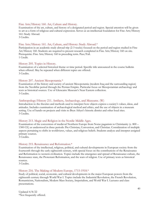### Fine Arts/History 160. Art, Culture and History.

Examination of the art, culture, and history of a designated period and region. Special attention will be given to art as a form of religious and cultural expression. Serves as an intellectual foundation for Fine Arts/History 161: Study Abroad. 3 Credits.

## Fine Arts/History 161. Art, Culture, and History: Study Abroad.\*

Participation in an academic study abroad trip (2-3 weeks) focused on the period and region studied in Fine Art/History 160. Students are required to present research completed in Fine Arts/History 160 on site. Prerequisite: Fine Arts/History 160 in preceding term. Pass/Fail. 1 Credit.

#### History 205. Topics in History.

Examination of a selected historical theme or time period. Specific title announced in the course bulletin when offered. May be repeated when different topics are offered. 3 Credits.

#### History 207. Ancient Mesopotamia.\*

Examination of the history and society of ancient Mesopotamia (modern Iraq and the surrounding region) from the Neolithic period through the Persian Empire. Particular focus on Mesopotamian archaeology and texts as historical sources. Use of Glencairn Museum's Near Eastern collection. 3 Credits.

## Anthropology/History 211. Artifacts, Archaeology, and Museums. (W)

Introduction to the theories and methods used to interpret how objects express a society's values, ideas, and attitudes. Includes examination of archaeological method and ethics, and the use of objects in a museum setting. Use of hands-on projects and visits to Bryn Athyn's historic district and other local sites. 3 Credits.

#### History 213. Magic and Religion in the Nordic Middle Ages.

Examination of the conversion of medieval Northern Europe from Norse paganism to Christianity (c. 800 – 1300 CE) as understood in three periods: Pre-Christian, Conversion, and Christian. Consideration of multiple aspects pertaining to shifts in worldviews, values, and religious beliefs. Students analyze and interpret assigned primary sources.

3 Credits.

#### History 215. Renaissance and Reformation.\*

Examination of the intellectual, religious, political, and cultural developments in European society from the fourteenth through the early eighteenth century, with special focus on the contributions of the Renaissance and Reformation to western civilization. Topics include the emergence and spread of Renaissance culture, the Renaissance state, the Protestant Reformation, and the wars of religion. Use of primary texts as historical sources.

3 Credits.

#### History 216. The Making of Modern Europe, 1715-1918.\*

Study of political, social, economic, and cultural developments in the major European powers from the eighteenth century through World War I. Topics include the Industrial Revolution, the French Revolution, Romanticism, Nationalism, Modern Mass Society, Imperialism, and World War I. Lectures and class presentations.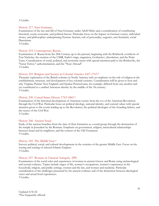3 Credits.

#### History 217. Nazi Germany.

Examination of the rise and fall of Nazi Germany under Adolf Hitler and a consideration of contributing historical, social, economic, and political factors. Particular focus on the impact on German society, individual choice, and philosophies underpinning Nazism: fascism, cult of personality, eugenics, anti-Semitism, social Darwinism.

3 Credits.

#### History 219. Contemporary Russia.

Examination of Russia from the 20th Century up to the present, beginning with the Bolshevik overthrow of Tsar Nicholas, the creation of the USSR, Stalin's reign, stagnation, Gorbachev, dissolution, and the Putin Years. Consideration of social, political, and economic issues with special attention paid to the Bolsheviks, the "Great Terror," authoritarianism, and the "Near Abroad". 3 Credits.

#### History 225. Religion and Society in Colonial America 1607-1763.\*

Thematic exploration of the British colonies in North America with an emphasis on the role of religion in the establishment, structure, and development of key colonial societies. Consideration will be given to how and why Virginia, Puritan New England, and Quaker Pennsylvania, for example, differed from one another and yet contributed to a unified American identity by the middle of the  $18<sub>th</sub>$  century. 3 Credits.

#### History 230. United States History 1763-1865.\*

Examination of the historical development of American society from the eve of the American Revolution through the Civil War. Particular focus on political ideology, national identity, and societal values with special attention given to the events leading up to the Revolution, the political ideologies of the founding fathers, and the causes of the Civil War.

3 Credits.

#### History 240. Ancient Israel.

Study of the ancient Israelites from the time of their formation as a social group through the destruction of the temple in Jerusalem by the Romans. Emphasis on government, religion, intercultural relationships between Israel and its neighbors, and the context of the Old Testament. 3 Credits.

#### History 245. The Middle East.\*

Surveys political, social, and cultural developments in the societies of the greater Middle East. Focus on the waxing and waning of selected Islamic Empires. 3 Credits.

#### History 257. Women in Classical Antiquity. (PP)

Examination of the social roles and experiences of women in ancient Greece and Rome using archaeological and textual evidence. Topics include stages of life, women's occupations, women's experiences in the household, religion, and public settings, women and the law, and women and medicine. Particular consideration of the challenges presented by the ancient evidence and of the distinction between ideological views and actual lived experiences. 3 Credits.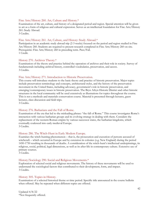#### Fine Arts/History 260. Art, Culture and History.\*

Examination of the art, culture, and history of a designated period and region. Special attention will be given to art as a form of religious and cultural expression. Serves as an intellectual foundation for Fine Arts/History 261: Study Abroad.

3 Credits.

#### Fine Arts/History 261. Art, Culture, and History: Study Abroad.\*

Participation in an academic study abroad trip (2-3 weeks) focused on the period and region studied in Fine Art/History 260. Students are required to present research completed in Fine Arts/History 260 on site. Prerequisite: Fine Arts/History 260 in preceding term. Pass/Fail. 1 Credit.

#### History 270. Archives Theory.\*

Examination of the theory and practice behind the operation of archives and their role in society. Survey of fundamentals including archival history, controlled vocabularies, preservation, and access. 3 Credits.

#### Fine Arts/History 271. Introduction to Historic Preservation.

This course will introduce students to the basic theory and practice of historic preservation. Major topics include preservation terminology and concepts, architectural styles, and the history of the preservation movement in the United States, including advocacy, government's role in historic preservation, and emerging/contemporary issues in historic preservation. The Bryn Athyn Historic District and other historic structures in the local community will be used extensively as illustrations for topics throughout the course. This is not a methods and materials conservation course. Material is presented through lectures, guest lectures, class discussion and field trips.

3 Credits.

#### History 276. Barbarians and the Fall of Rome.

Examination of the era that led to the misleading phrase: "the fall of Rome." This course investigates Rome's interaction with various barbarian groups and its evolving strategy in dealing with them. Considers the replacement of the western Roman empire by various successor states, the barbarian kingdoms, which eventually coalesced into early medieval Europe. 3 Credits.

#### History 286. The Witch-Hunt in Early Modern Europe.

Examines the witch-hunting phenomenon – that is, the prosecution and execution of persons accused of witchcraft – which occurred in Europe and by extension its colonies (e.g. New England) during the period 1450-1750 resulting in thousands of deaths. A consideration of the witch-hunt's intellectual underpinnings, its religious, social, political, legal dimensions, as well as its after-life in contemporary culture. Extensive use of primary sources.

3 Credits.

#### History/Sociology 290. Social and Religious Movements.\*

Exploration of selected social and religious movements. The history of these movements will be used to understand the sociological factors that contributed to their development, form, and impact. 3 Credits.

#### History 305. Topics in History.

Examination of a selected historical theme or time period. Specific title announced in the course bulletin when offered. May be repeated when different topics are offered.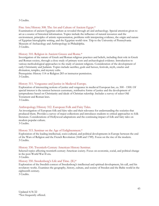3 Credits.

## Fine Arts/History 308. The Art and Culture of Ancient Egypt.\*

Examination of ancient Egyptian culture as revealed through art and archaeology. Special attention given to art as a source of historical information. Topics include the influence of natural resources and the environment, principles of artistic representation, problems with interpreting evidence, the origin and nature of Egyptian hieroglyphic writing, and the Egyptian world view. Trip to the University of Pennsylvania Museum of Archaeology and Anthropology in Philadelphia. 3 Credits.

#### History 310. Religion in Ancient Greece and Rome.\*

Investigation of the nature of Greek and Roman religious practices and beliefs, including their role in Greek and Roman society, through a close study of primary texts and archaeological evidence. Introduction to various methodological approaches to the study of ancient religions. Consideration of the development of early Christianity and Judaism. Topics include sacrifice, gods and heroes, festivals, myth, oracles and divination, temples, and mystery cults.

Prerequisite: History 114 or Religion 283 or instructor permission. 3 Credits.

#### History 311. Vengeance and Justice in Medieval Europe.

Exploration of intersecting notions of justice and vengeance in medieval European law, ca. 500 - 1500. Of special interest is the tension between customary, retributive forms of justice and the development of jurisprudence based on Christianity and ideals of Christian rulership. Includes a survey of select Old Testament and Roman laws.

3 Credits.

#### Anthropology/History 312. European Folk and Fairy Tales.

An investigation of European folk and fairy tales and their relevance for understanding the societies that produced them. Provides a survey of major collections and introduces students to critical approaches to folk literature. Considerations of Hollywood adaptations and the continuing impact of folk and fairy tales on modern popular culture.

3 Credits.

#### History 315. Seminar on the Age of Enlightenment.\*

Exploration of the leading intellectual, socio-cultural, and political developments in Europe between the end of the Wars of Religion and the French Revolution (1648 and 1789). Focus on the rise of the modern. 3 Credits.

#### History 330. Twentieth-Century American History Seminar.

Selected topics affecting twentieth-century American society. Focus on economic, social, and political change in the post-World War II era.

3 Credits.

#### History 350. Swedenborg's Life and Time. (IL)\*

Exploration of the Swedish context of Swedenborg's intellectual and spiritual development, his call, and his revelatory works. Examines the geography, history, culture, and society of Sweden and the Baltic world in the eighteenth century.

3 Credits.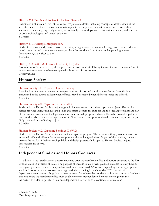#### History 359. Death and Society in Ancient Greece.\*

Examination of ancient Greek attitudes and responses to death, including concepts of death, views of the afterlife, funerary rituals, and commemoration practices. Emphasis on what this evidence reveals about ancient Greek society, especially value systems, family relationships, social distinctions, gender, and law. Use of both archaeological and textual evidence.

3 Credits.

#### History 371. Heritage Interpretation.

Study of the theory and practice involved in interpreting historic and cultural heritage materials in order to reveal meanings and communicate messages. Includes consideration of interpretive planning, theme development, and visitor studies.

3 Credits.

#### History 298, 398, 498. History Internship II. (EE)

Proposals must be approved by the appropriate department chair. History internships are open to students in second year or above who have completed at least two history courses. Credit variable.

## **Human Society**

#### Human Society 305. Topics in Human Society.

Examination of a selected theme or time period using history and social sciences lenses. Specific title announced in the course bulletin when offered. May be repeated when different topics are offered. 3 Credits.

#### Human Society 401. Capstone Seminar. (IL)

Students in the Human Society major engage in focused research for their capstone projects. The seminar setting provides instruction in related skills and offers a forum for support and the exchange of ideas. As part of the seminar, each student will generate a written research proposal, which will also be presented publicly. Each student also examines in depth a specific New Church concept related to the student's capstone project. Only open to Human Society majors.

3 Credits.

### Human Society 402. Capstone Seminar II. (WC)

Students in the Human Society major write their capstone projects. The seminar setting provides instruction in related skills and offers a forum for support and the exchange of ideas. As part of the seminar, students present the results of their research publicly and design posters. Only open to Human Society majors. Prerequisite: HSoc 401.

3 Credits.

## **Independent Studies and Honors Contracts**

In addition to the listed courses, departments may offer independent studies and honors contracts at the 200 level or above in a variety of fields. The purpose of these is to allow well-qualified students to study beyond the regularly offered courses. Independent studies are numbered 299 or 399, depending on the appropriate level, and honors contract courses are designated with a trailing H, such as Math205H. Academic departments are under no obligation to meet requests for independent studies and honors contracts. Students who undertake independent studies must be able to work independently between meetings with the instructor. In order to qualify to take an independent study or honors contract, a student must: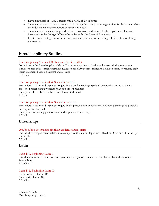- Have completed at least 31 credits with a GPA of 2.7 or better
- Submit a proposal to the department chair during the week prior to registration for the term in which the independent study or honors contract is to occur.
- Submit an independent study card or honors contract card (signed by the department chair and instructor) to the College Office to be reviewed by the Dean of Academics.
- Create a syllabus together with the instructor and submit it to the College Office before or during registration.

## **Interdisciplinary Studies**

## Interdisciplinary Studies 390. Research Seminar. (IL)

For juniors in the Interdisciplinary Major. Focus on preparing to do the senior essay during senior year. Explore topics and research questions. Research scholarly sources related to a chosen topic. Formulate draft thesis statement based on interest and research. 2 Credits.

## Interdisciplinary Studies 494. Senior Seminar I.

For seniors in the Interdisciplinary Major. Focus on developing a spiritual perspective on the student's capstone project using Swedenborgian and other principles. Prerequisite: C– or better in Interdisciplinary Studies 390.

1 Credit.

## Interdisciplinary Studies 496. Senior Seminar II.

For seniors in the Interdisciplinary Major. Public presentation of senior essay. Career planning and portfolio development. Pass/Fail.

Prerequisite: A passing grade on an interdisciplinary senior essay. 1 Credit.

## **Internships**

## 298/398/498 Internships (in their academic areas) (EE)

Individually arranged career related internships. See the Major Department Head or Director of Internships for details.

3 Credits.

## **Latin**

Latin 110. Beginning Latin I.

Introduction to the elements of Latin grammar and syntax to be used in translating classical authors and Swedenborg. 3 Credits.

Latin 111. Beginning Latin II. Continuation of Latin 110. Prerequisite: Latin 110. 3 Credits.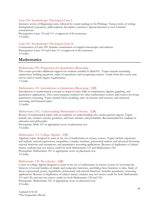### Latin 250. Swedenborg's Theological Latin I.

Intensive review of Beginning Latin, followed by varied readings in the Writings. Various styles of writing distinguished (expository, philosophical, descriptive, narrative). Special attention to non-Classical constructions.

Prerequisites: Latin 110 and 111 or approval of the instructor. 3 Credits.

## Latin 251. Swedenborg's Theological Latin II.

Continuation of Latin 250. Includes examination of original manuscripts and editions. Prerequisites: Latin 110 and Latin 111 or approval of the instructor. 3 Credits.

## **Mathematics**

#### Mathematics 095. Preparation for Quantitative Reasoning.

This course provides additional support for students enrolled in Math101. Topics include translating expressions, building equations, order of operations, and recognizing context. Credit from this course may not be used to satisfy degree requirements. 1 Credit.

## Mathematics 101. Introduction to Quantitative Reasoning. (QR)

Introduction to mathematical concepts to improve basic skills in computation, algebra, graphing, and quantitative applications. This course prepares students for other mathematics courses and courses involving quantitative reasoning. Topics include linear modeling, units of measure and currency, and statistical reasoning, and financial topics.

3 Credits.

#### Mathematics 102. Understanding Mathematics in Society. (QR)

Review of mathematical topics with an emphasis on understanding why certain patterns appear. Topics include sets, number systems, geometry, and basic statistics and probability. Recommended for students in education and philosophy.

Prerequisite: Math 101 or appropriate score on placement test. 3 Credits.

#### Mathematics 115. College Algebra. (QR)

Algebraic topics designed to assist in the use of mathematics in science courses. Topics include exponents and radicals, rational expressions, inequalities, complex numbers, polynomial analysis and advanced factoring, rational functions and asymptotes, and quantitative reasoning applications. Because of duplication of subject matter, students may not receive credit for both Mathematics 115 and Mathematics 120. Prerequisite: Mathematics 101 or appropriate score on placement test. 3 Credits.

#### Mathematics 120. Pre-calculus. (QR)

Course in college algebra designed to assist in the use of mathematics in science courses by reviewing the behavior of several families of simple and composite functions, and fitting these functions to data. Study of linear, exponential, power, logarithmic, polynomial, and rational functions. Includes quantitative reasoning applications. Because of duplication of subject matter, students may not receive credit for both Mathematics 115 and 120, and may not receive credit for both Mathematics 120 and 124. Prerequisite: Mathematics 101 or appropriate score on placement test. 4 Credits.

Updated 4/8/22 \*Not frequently offered.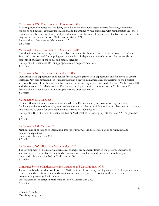### Mathematics 124. Transcendental Functions. (QR)

Basic trigonometric functions, modeling periodic phenomena with trigonometric functions, exponential functions and models, exponential equations, and logarithms. When combined with Mathematics 115, these courses would be equivalent to typical pre-calculus course. Because of duplication of subject matter, students may not receive credit for both Mathematics 120 and 124.

Prerequisite or Co-requisite: Mathematics 115. 1.5 Credits

## Mathematics 130. Introduction to Statistics. (QR)

Introduction to data analysis, random variables and their distributions, correlation, and statistical inference. Statistical software used for graphing and data analysis. Independent research project. Recommended for students of business or the social and natural sciences.

Prerequisite: Mathematics 101 or appropriate score on placement test. 4 Credits.

#### Mathematics 140. Elements of Calculus. (QR)

Derivatives with applications, exponential functions, integration with applications, and functions of several variables. Not recommended for students pursuing a degree in mathematics, engineering, or the physical sciences. Because of duplication of subject matter, students may not receive credit for both Mathematics 140 and Mathematics 150. Mathematics 140 does not fulfill prerequisite requirements for Mathematics 151. Prerequisite: Mathematics 115 or appropriate score on placement test. 3 Credits.

#### Mathematics 150. Calculus I.

Limits, differentiation, maxima-minima, related rates, Riemann sums, integration with applications, fundamental theorem of calculus, transcendental functions. Because of duplication of subject matter, students may not receive credit for both Mathematics 140 and Mathematics 150. Prerequisite: B– or better in Mathematics 120 or Mathematics 124 or appropriate score on SAT or placement

test.

4 Credits.

#### Mathematics 151. Calculus II.

Methods and applications of integration, improper integrals, infinite series, Taylor polynomials, and parametric equations. Prerequisite: Mathematics 150. 4 Credits.

#### Mathematics 205. History of Mathematics. (IL)

The development of the major mathematical concepts from ancient times to the present, emphasizing alternate approaches to familiar methods. Students will complete an independent research project. Prerequisite: Mathematics 140 or Mathematics 150. 3 Credits.

#### Computer Science/Mathematics 230. Statistics and Data Mining. (QR)

This course builds on what was learned in Mathematics 130 with an eye on big data sets. Techniques include regression and classification methods, culminating in a final project. Throughout the course, the programming language *R* will be used.

Prerequisites: B- or better in Mathematics 130 or Mathematics 330. 3 Credits.

Updated 4/8/22 \*Not frequently offered.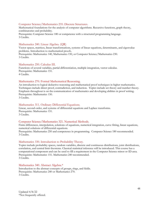## Computer Science/Mathematics 235. Discrete Structures.

Mathematical foundations for the analysis of computer algorithms. Recursive functions, graph theory, combinatorics and probability.

Prerequisite: Computer Science 180 or competence with a structured programming language. 3 Credits.

#### Mathematics 240. Linear Algebra. (QR)

Vector spaces, matrices, linear transformations, systems of linear equations, determinants, and eigenvalue problems. Introduction to mathematical proofs. Prerequisite: Mathematics 140, Mathematics 150, or Computer Science/Mathematics 230. 3 Credits.

#### Mathematics 250. Calculus III.

Functions of several variables, partial differentiation, multiple integration, vector calculus. Prerequisite: Mathematics 151. 4 Credits.

#### Mathematics 270. Formal Mathematical Reasoning.

An introduction to logical deductive reasoning and mathematical proof techniques in higher mathematics. Techniques include direct proof, contradiction, and induction. Topics include set theory and number theory. Emphasis throughout is on the communication of mathematics and developing abilities in proof writing. Prerequisite: Mathematics 150.

3 Credits.

#### Mathematics 311. Ordinary Differential Equations.

Linear, second-order, and systems of differential equations and Laplace transforms. Prerequisite: Mathematics 151. 3 Credits.

#### Computer Science/Mathematics 321. Numerical Methods.

Finite differences, interpolation, solutions of equations, numerical integration, curve fitting, linear equations, numerical solutions of differential equations.

Prerequisite: Mathematics 250 and competence in programming. Computer Science 180 recommended. 3 Credits.

#### Mathematics 330. Introduction to Probability Theory.

Topics include probability spaces, random variables, discrete and continuous distributions, joint distributions, correlation, and central limit theorems. Classical statistical inference will be introduced. This course has a computational component and can be used to fill a requirement in the Computer Science minor or ID area. Prerequisite: Mathematics 151. Mathematics 240 recommended. 3 Credits.

#### Mathematics 340. Abstract Algebra.\*

Introduction to the abstract concepts of groups, rings, and fields. Prerequisite: Mathematics 240 or Mathematics 270. 3 Credits.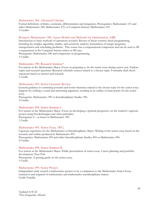#### Mathematics 360. Advanced Calculus.

Formal definitions of limits, continuity, differentiation and integration. Prerequisites: Mathematics 151 and either Mathematics 240, Mathematics 270, or Computer Science/Mathematics 235. 3 Credits.

### Business/Mathematics 380. Linear Models and Methods for Optimization. (QR)

Introduction to basic methods of operations research. Review of linear systems; linear programming, including the simplex algorithm, duality, and sensitivity analysis; formulation of integer programs; transportation and scheduling problems. This course has a computational component and can be used to fill a requirement in the Computer Science minor or ID area. Prerequisite: Mathematics 240 and competence in programming. 3 Credits.

#### Mathematics 390. Research Seminar.\*

For juniors in the Mathematics Major. Focus on preparing to do the senior essay during senior year. Explore topics and research questions. Research scholarly sources related to a chosen topic. Formulate draft thesis statement based on interest and research. 1 Credit.

#### Mathematics 493. Senior Literature Review.

General guidance in continuing research and review literature related to the chosen topic for the senior essay. Support for crafting a sound and interesting argument, resulting in an outline of main points for the senior essay.

Prerequisite: Mathematics 390 or Interdisciplinary Studies 390. 2 Credits.

#### Mathematics 494. Senior Seminar I.

For seniors in the Mathematics Major. Focus on developing a spiritual perspective on the student's capstone project using Swedenborgian and other principles.

Prerequisite: C– or better in Mathematics 390. 1 Credit.

#### Mathematics 495. Senior Essay. (WC)

Capstone experience for the Mathematics or Interdisciplinary Major. Writing of the senior essay based on the research and outline produced in Mathematics 493. Prerequisites: Mathematics 493 and either Interdisciplinary Studies 494 or Mathematics 494. 2 Credits.

#### Mathematics 496. Senior Seminar II.

For seniors in the Mathematics Major. Public presentation of senior essay. Career planning and portfolio development. Pass/Fail. Prerequisite: A passing grade on the senior essay. 1 Credit.

#### Mathematics 499. Senior Project.

Independent study toward a mathematics project to be a companion to the Mathematics Senior Essay. Limited to and required of mathematics and mathematics interdisciplinary majors. Credit Variable.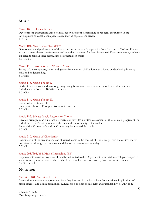## **Music**

## Music 100. College Chorale.

Development and performance of choral repertoire from Renaissance to Modern. Instruction in the development of vocal techniques. Course may be repeated for credit. 1 Credit.

## Music 101. Music Ensemble. (EE)\*

Development and performance of the classical string ensemble repertoire from Baroque to Modern. Private lessons, master classes, performance, and attending concerts. Audition is required. Upon acceptance, students expected to take all three terms. May be repeated for credit. 1.5 Credits.

## Music 110. Introduction to Western Music.

Survey of the composers, styles, and genres from western civilization with a focus on developing listening skills and understanding. 3 Credits.

#### Music 113. Music Theory I.

Study of music theory and harmony, progressing from basic notation to advanced musical structures. Includes styles from the 18<sup>th</sup>-20<sup>th</sup> centuries. 3 Credits.

#### Music 114. Music Theory II.

Continuation of Music 113. Prerequisite: Music 113 or permission of instructor. 3 Credits.

#### Music 185. Private Music Lessons or Choirs.

Privately arranged music instruction. Instructor provides a written assessment of the student's progress at the end of the term. Private lessons are the financial responsibility of the student. Prerequisite: Consent of division. Course may be repeated for credit. 1 Credit.

#### Music 210. Music of Christianity.

Examination of the creation and use of sacred music in the context of Christianity, from the earliest church organizations through the numerous and diverse denominations of today. 3 Credits.

#### Music 298/398/498. Music Internship. (EE)

Requirements variable. Proposals should be submitted to the Department Chair. Art internships are open to students in sophomore year or above who have completed at least two art, dance, or music courses. Credits variable.

## **Nutrition**

#### Nutrition 101. Nutrition for Life.

Covers the six nutrient categories and how they function in the body. Includes nutritional implications of major diseases and health promotion, cultural food choices, food equity and sustainability, healthy body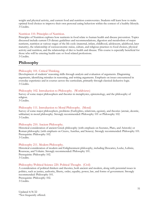weight and physical activity, and current food and nutrition controversies. Students will learn how to make optimal food choices to improve their own personal eating behaviors within the context of a healthy lifestyle. 3 Credits.

#### Nutrition 110. Principles of Nutrition.

Principles of Nutrition explores how nutrients in food relate to human health and disease prevention. Topics discussed include current US dietary guidelines and recommendations, digestion and metabolism of major nutrients, nutrition at various stages of the life cycle (maternal, infant, childhood, adolescent, adulthood, later maturity), the relationship of socioeconomic status, culture, and religious practices to food choices, physical activity and nutrition, and the relationship of diet to health and disease. This course is especially beneficial for those who will be entering health-care or food related professions. 3 Credits.

## **Philosophy**

## Philosophy 101. Critical Thinking.

Development of students' reasoning skills through analysis and evaluation of arguments. Diagraming arguments, identifying mistakes in reasoning, and writing arguments. Emphasis on issues encountered in everyday experience and in courses across the curriculum, primarily through classical deductive logic. 3 Credits.

#### Philosophy 102. Introduction to Philosophy. (Worldviews)

Survey of some major philosophers and theories in metaphysics, epistemology, and the philosophy of religion.

3 Credits.

#### Philosophy 111. Introduction to Moral Philosophy. (Moral)

Survey of some major philosophers, problems (Euthyphro, relativism, egoism), and theories (aretaic, deontic, utilitarian) in moral philosophy. Strongly recommended: Philosophy 101 or Philosophy 102. 3 Credits.

#### Philosophy 210. Ancient Philosophy.

Historical consideration of ancient Greek philosophy (with emphasis on Socrates, Plato, and Aristotle) or Roman philosophy (with emphasis on Cicero, Aurelius, and Seneca). Strongly recommended: Philosophy 101. Prerequisite: Philosophy 102. 3 Credits.

## Philosophy 211. Modern Philosophy.

Historical consideration of modern and Enlightenment philosophy, including Descartes, Locke, Leibniz, Rousseau, and Voltaire. Strongly recommended: Philosophy 101. Prerequisite: Philosophy 102. 3 Credits.

#### Philosophy/Political Science 220. Political Thought. (Civil)

A consideration of political thinkers and theories, both ancient and modern, along with perennial issues in politics, such as justice, authority, liberty, order, equality, power, law, and forms of government. Strongly recommended: Philosophy 101. Prerequisite: Philosophy 102. 3 Credits.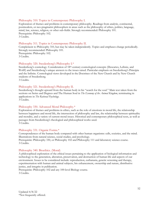#### Philosophy 310. Topics in Contemporary Philosophy I.

Exploration of themes and problems in contemporary philosophy. Readings from analytic, continental, postmodern, or neo-pragmatist philosophers in areas such as the philosophy of ethics, politics, language, mind, law, science, religion, or other sub-fields. Strongly recommended: Philosophy 101. Prerequisite: Philosophy 102. 3 Credits.

#### Philosophy 311. Topics in Contemporary Philosophy II.

Complement to Philosophy 310, but may be taken independently. Topics and emphases change periodically. Strongly recommended: Philosophy 101. Prerequisite: Philosophy 102. 3 Credits.

#### Philosophy 320. Swedenborg's Philosophy I.\*

Swedenborg's cosmology. Consideration of 18<sup>th</sup>-century cosmological concepts (Descartes, Leibniz, and Wolff) and Swedenborg's unique answers to the issues raised. Particular emphasis on Swedenborg's Principia and the Infinite. Cosmological views developed in the Doctrines of the New Church and by New Church students of Swedenborg.

3 Credits.

#### Philosophy 321. Swedenborg's Philosophy II.

Swedenborg's thought upward from the human body in his "search for the soul." Main text taken from the sections on Series and Degrees and The Human Soul in *The Economy of the Animal Kingdom*, terminating in applications in *The Rational Psychology*.

3 Credits.

#### Philosophy 330. Advanced Moral Philosophy.\*

Exploration of themes and problems in ethics, such as the role of emotions in moral life, the relationship between happiness and moral life, the intersection of philosophy and law, the relationship between spirituality and morality, and a variety of current moral issues. Historical and contemporary philosophical texts, as well as passages from Swedenborg's theological and philosophical works used. 3 Credits.

#### Philosophy 331. Organic Forms.\*

Correspondences of the human body compared with other human organisms: cells, societies, and the mind. Illustrations from natural science, social studies, and psychology. Prerequisite: Philosophy 330, or Philosophy 102 and Philosophy 111 and laboratory science course. 3 Credits.

#### Philosophy 340. Bioethics. (Moral)

A philosophical exploration of the ethical issues pertaining to the application of biological information and technology to the generation, alteration, preservation, and destruction of human life and aspects of our environment. Issues to be considered include: reproduction, euthanasia, genetic screening and therapy, experimentation with human and animal subjects, bio enhancement, ownership and nature, distributive justice, and integrity in publication.

Prerequisite: Philosophy 102 and any 100-level Biology course. 3 Credits.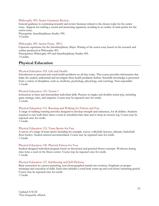#### Philosophy 493. Senior Literature Review.

General guidance in continuing research and review literature related to the chosen topic for the senior essay. Support for crafting a sound and interesting argument, resulting in an outline of main points for the senior essay.

Prerequisite: Interdisciplinary Studies 390. 3 Credits.

## Philosophy 495. Senior Essay. (WC)

Capstone experience for the Interdisciplinary Major. Writing of the senior essay based on the research and outline produced in Philosophy 493. Prerequisites: Philosophy 493 and Interdisciplinary Studies 494.

3 Credits.

## **Physical Education**

#### Physical Education 103. Life and Health.

Introduction to personal and social health problems we all face today. This course provides information that helps the student understand and investigate these health problems further. Scientific knowledge is presented from a variety of disciplines, such as, medicine, psychology, physiology, and sociology. Non-repeatable. 1 Credit.

#### Physical Education 110. Tennis.\*

Instruction in basic and intermediate individual skills. Practice in singles and doubles tennis play, including game strategy, rules, and etiquette. Course may be repeated once for credit. 1 Credit.

#### Physical Education 111. Running and Walking for Fitness and Fun.

A range of walking/running activities designed to develop strength and endurance, for all abilities. Students required to run/walk three times a week in scheduled class time and to keep an exercise log. Course may be repeated once for credit.

1 Credit.

#### Physical Education 112. Team Sports for Fun.

A survey of a range of team sports including for example, soccer, volleyball, lacrosse, ultimate, basketball, floor hockey. Student interest accommodated. Course may be repeated once for credit. 1 Credit.

#### Physical Education 120. Physical Fitness for You.

Student-designed individual program based on theoretical and practical fitness concepts. Workouts during class twice a week in the fitness center. Course may be repeated once for credit. 1 Credit.

#### Physical Education 127. Kickboxing and Self-Defense.

Basic instruction in a power-punching, non-choreographed martial arts workout. Emphasis on proper technique and execution of skills. Each class includes a total-body warm-up and cool-down/stretching period. Course may be repeated once for credit. 1 Credit.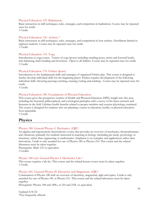#### Physical Education 129. Badminton.

Basic instruction in skill techniques, rules, strategies, and competition in badminton. Course may be repeated once for credit.

1 Credit.

#### Physical Education 130. Archery.\*

Basic instruction in skill techniques, rules, strategies, and competition in bow archery. Enrollment limited to eighteen students. Course may be repeated once for credit. 1 Credit.

#### Physical Education 133. Yoga.

Introduction to yoga course. Variety of yoga (poses) including standing poses, twists and forward bends, arm-balancing, back bending and inversions. Open to all abilities. Course may be repeated once for credit. 1 Credit.

#### Physical Education 170. Frisbee Sports.

Introduction to the fundamental skills and strategies of organized Frisbee play. This course is designed to further develop individual skills for the beginning player. Frisbee requires development of the following individual skills: throwing/passing/catching, running/cutting and marking. Course may be repeated once for credit.

1 Credit.

#### Physical Education 180. Foundations of Physical Education.

This course gives the prospective teacher of Health and Physical Education (HPE) insight into this area, including the historical, philosophical, and sociological principles with a survey of the latest research and literature in the field. Lifetime health benefits related to proper nutrition and exercise physiology examined. The course is designed for students who are planning a career in education, health, or physical education. Non-repeatable.

1 Credit.

## **Physics**

#### Physics 180. General Physics I: Mechanics. (QR)\*

An algebra and trigonometry-based physics course that provides an overview of mechanics, thermodynamics and vibrations, primarily for students interested in majoring in biology (including pre-med), psychology or chemistry, rather than engineering or mathematics. Emphasis is on examples and applications rather than derivations. Credit is only awarded for one of Physics 180 or Physics 210. This course and the related laboratory must be taken together.

Prerequisite: Math 125 or equivalent.

3 Credits.

#### Physics 180 Lab. General Physics I: Mechanics Lab.\*

This course requires a lab fee. This course and the related lecture course must be taken together. 1 Credit.

#### Physics 181. General Physics II: Electricity and Magnetism. (QR)\*

Continuation of Physics 180 with an overview of electricity, magnetism, light and optics. Credit is only awarded for one of Physics 181 or Physics 211. This course and the related laboratory must be taken together.

Prerequisite: Physics 180 and 180L, or 210 and 210L or equivalent.

Updated 4/8/22 \*Not frequently offered.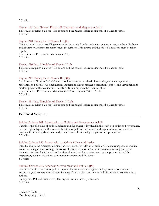3 Credits.

## Physics 181 Lab. General Physics II: Electricity and Magnetism Lab.\*

This course requires a lab fee. This course and the related lecture course must be taken together. 1 Credit.

## Physics 210. Principles of Physics I. (QR)

Calculus-based course providing an introduction to rigid body mechanics, gravity, waves, and heat. Problem and laboratory assignments complement the lectures. This course and the related laboratory must be taken together.

Co-requisite or Prerequisite: Mathematics 150. 3 Credits.

#### Physics 210 Lab. Principles of Physics I Lab.

This course requires a lab fee. This course and the related lecture course must be taken together. 1 Credit.

## Physics 211. Principles of Physics II. (QR)

Continuation of Physics 210. Calculus-based introduction to classical electricity, capacitance, current, resistance, and circuits. Also magnetism, inductance, electromagnetic oscillations, optics, and introduction to modern physics. This course and the related laboratory must be taken together. Co-requisites or Prerequisites: Mathematics 151 and Physics 210 and 210L. 3 Credits.

## Physics 211 Lab. Principles of Physics II Lab.

This course requires a lab fee. This course and the related lecture course must be taken together. 1 Credit.

## **Political Science**

## Political Science 101. Introduction to Politics and Governance. (Civil)

Examines the discipline of political science and the concepts involved in the study of politics and governance. Surveys regime types and the role and function of political institutions and organizations. Focus on the potential for thinking about civic and political issues from a religiously-informed perspective. 3 Credits.

#### Political Science 160. Introduction to Criminal Law and Justice.

Introduction to the American criminal justice system. Provides an overview of the many aspects of criminal justice including crime, policing, the courts, theories of punishment, incarceration, juvenile justice, and domestic violence. Includes a consideration of a variety of viewpoints such as the perspectives of the perpetrator, victims, the police, community members, and the courts. 3 Credits.

#### Political Science 210. American Government and Politics. (PP)

Examination of the American political system focusing on founding principles, national governmental institutions, and contemporary issues. Readings from original documents and historical and contemporary authors.

Prerequisite: Political Science 101, History 230, or instructor permission. 3 Credits.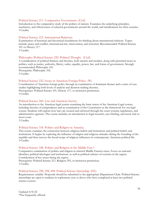#### Political Science 211. Comparative Government. (Civil)

Introduction to the comparative study of the politics of nations. Examines the underlying principles, machinery, and effectiveness of selected governments around the world, and ramifications for their societies. 3 Credits.

#### Political Science 212. International Relations.

Examination of historical and theoretical foundations for thinking about international relations. Topics include: peace and conflict, international law, intervention, and terrorism. Recommended: Political Science 101 or History 117.

3 Credits.

#### Philosophy/Political Science 220. Political Thought. (Civil)

A consideration of political thinkers and theories, both ancient and modern, along with perennial issues in politics, such as justice, authority, liberty, order, equality, power, law, and forms of government. Strongly recommended: Philosophy 101. Prerequisite: Philosophy 102. 3 Credits.

#### Political Science 232. Issues in American Foreign Policy. (W)

Consideration of American foreign policy through an examination of dominant themes and a series of case studies highlighting both levels of analysis and decision-making theories. Prerequisites: Political Science 101, History 117, or instructor permission. 3 Credits.

#### Political Science 260. Law and American Society.

An introduction to the American legal system examining the basic tenets of the American Legal system, including theories of jurisprudence and an examination of the Constitution as the framework for our legal system. Students will explore how laws are created and enforced through the court systems, legislatures, and administrative agencies. The course includes an introduction to legal research, case briefing, and mock trial or moot court.

3 Credits.

#### Political Science 318. Politics and Religion in America.

This course examines the connection between religious beliefs and institutions and political beliefs and institutions. It begins by exploring the influence of religion and religious attitudes during the founding of the republic and then surveys the broad scope of religious influences in contemporary American political life. 3 Credits.

#### Political Science 348. Politics and Religion in the Middle East.\*

Comparative examination of politics and religion in selected Middle Eastern states. Focus on national identities, political ideologies and institutions, as well as political cultures of societies in the region. Consideration of key issues facing the region.

Prerequisite: Political Science 211, Religion 295, or instructor permission. 3 Credits.

#### Political Science 298, 398, 498. Political Science Internship. (EE)

Requirements variable. Proposals should be submitted to the appropriate Department Chair. Political Science internships are open to students in sophomore year or above who have completed at least two political science courses.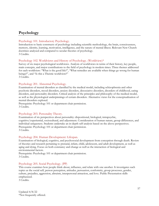## **Psychology**

## Psychology 101. Introductory Psychology.

Introduction to basic constructs of psychology including scientific methodology, the brain, consciousness, memory, identity, learning, motivation, intelligence, and the nature of mental illness. Relevant New Church doctrines analyzed and compared to secular theories of psychology. 3 Credits.

#### Psychology 102. Worldviews and History of Psychology. (Worldview)\*

Survey of six major psychological worldviews. Analysis of worldviews in terms of their history, key people, main concepts, and major contributions to the field of psychology in modern times. Three themes addressed for each worldview: "What is the good life?", "What remedies are available when things go wrong for human beings?", and "Is this a Theistic worldview?" 3 Credits.

#### Psychology 201. Abnormal Psychology.

Examination of mental disorders as classified by the medical model, including schizophrenia and other psychotic disorders, mood disorders, anxiety disorders, dissociative disorders, disorders of childhood, eating disorders, and personality disorders. Critical analysis of the principles and philosophy of the medical model, as well as the physiological underpinnings of certain disorders. Alternative views for the conceptualization of mental disorders explored.

Prerequisite: Psychology 101 or department chair permission. 3 Credits.

#### Psychology 203. Personality Theory.

Examination of six perspectives about personality: dispositional, biological, intrapsychic, cognitive/experiential, sociocultural, and adjustment. Consideration of human nature, group differences, and individual uniqueness. Students undertake an in-depth self-analysis based on the above perspectives. Prerequisite: Psychology 101 or department chair permission. 3 Credits.

#### Psychology 204. Human Development: Lifespan.

Examination of biological, cognitive, and psychosocial development from conception through death. Review of theories and research pertaining to prenatal, infant, child, adolescent, and adult development, as well as aging and dying. Focus on both constancy and change as well as the interaction of biological and environmental factors.

Prerequisite: Psychology 101 or department chair permission. 3 Credits.

#### Psychology 205. Social Psychology. (PP)

This course examines how people think about, influence, and relate with one another. It investigates such topics as the social self, person perception, attitudes, persuasion, conformity, group processes, gender, culture, prejudice, aggression, altruism, interpersonal attraction, and love. Public Presentation skills emphasized.

3 Credits.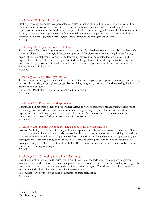### Psychology 212. Health Psychology.

Health psychology examines how psychological states influence physical health in a variety of ways. The three central issues of focus in this course are the promotion and maintenance of health (e.g., how psychological factors influence health-promoting and health compromising behaviors), the development of illness (e.g., how psychological factors influence the development and progression of disease), and the treatment of illness (e.g., how psychological factors influence the management of illness). 3 credits.

## Psychology 215. Organizational Psychology.

This course applies psychological science to the dynamics of professional organizations. It considers such topics as job analysis, psychological assessment, personnel decisions, employee training, human factors, organizational development, teamwork and leadership, motivation and satisfaction, work stress, and organizational ethics. The course will prepare students for post-graduate work in personality, social, and organizational psychology or immediate employment in industrial, organizational, and business settings. Prerequisite: Psychology 101

3 credits.

## Psychology 220. Cognitive Psychology.

This course features cognitive neuroscience and examines such topics as perception, attention, consciousness, memory, knowledge, imagery, language, problem-solving, judgment, reasoning, decision-making, intelligence, creativity, and wisdom.

Prerequisite: Psychology 101 or department chair permission. 3 Credits.

## Psychology 230. Psychology and Spirituality.

Examination of reported beliefs and experiences related to various spiritual topics, including clairvoyance, channeling, creativity, dreams, hallucinations, miracles, angels, prayer, spiritual influence, near death experiences, deathbed visions, spirit realms, and the afterlife. Swedenborgian perspectives included. Prerequisite: Psychology 101 or department chair permission. 3 Credits.

#### Psychology 285. Positive Psychology: The Science of Living Happily. (EE)

Positive Psychology is the scientific study of human happiness, well-being, and strength of character. This course takes an empirical and experiential approach to help students use the science of thriving and resilience to enhance their lives and others. Topics covered include positive thinking, character strengths, values, goal setting, wellness, the mind-body connection, self-esteem, and serving others in their relationships. No prerequisite required. Three credits and fulfills CORE requirement in Social Sciences. May not be repeated for credit. No prerequisite required.

3 Credits.

#### Psychology 301. Counseling and Clinical Psychology.

Examination of psychological theories that inform the skills of counselors and clinical psychologists in various professional settings. Topics include psychological theories, the roles of the counselor, listening skills, case conceptualization, treatment methods and intervention strategies. Consideration of what it means to incorporate individual values and spirituality into treatment.

Prerequisite: Two psychology courses or department chair permission. 3 Credits.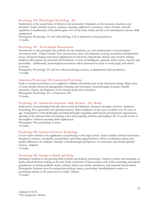## Psychology 305. Physiological Psychology. (IL)

Exploration of the neural basis of behavior and motivation. Emphasis on the structure, functions and disorders. Topics include memory, emotion, learning, addictions, conscience, states of mind, and selfregulation. Consideration of Swedenborgian view of the brain, mind, and the soul. Information Literacy skills emphasized.

Prerequisite: Psychology 101 and either Biology 122 or department chair permission. 3 Credits.

#### Psychology 307. Psychological Measurement.

Introduction to the principles that underlie the development, use, and interpretation of psychological assessment tools. Topics include: Test construction, survey development, scoring, assessment interpretation issues, and psychological assessment applications in industrial, educational, clinical, and research settings. Students will examine the potential and limitations of tests of intelligence, aptitude, achievement, interest, and personality. Additionally, psychological assessment will be discussed in terms of social, legal, and ethical concerns.

Prerequisite: Psychology 101 and two other psychology courses, or department chair permission. 3 Credits.

#### Education/Psychology 340. Educational Psychology.

Study of secular psychology as it is applied to children and adolescents in the classroom setting. Major areas of study include classroom management, learning, and motivation. Swedenborgian doctrines include innocence, charity, development of the rational mind, and conscience. Prerequisite: Psychology 101 or Education 128. 3 Credits.

### Psychology 341. Human Development: Adult Altruism. (EE, Moral)

Exploration of psychological theories about moral development, character strengths, altruism, optimism, flourishing, flow, generosity and spiritual maturity. Major emphasis on the states of adults over 18 years of age. Examination of Swedenborgian doctrinal principles regarding adult human development: regeneration, opening of the rational mind, developing a new will, acquiring wisdom, and leading a life of useful service to the neighbor. Ethical reasoning skills emphasized.

Prerequisite: Two psychology courses. 3 Credits.

#### Psychology 380. Seminar in Forensic Psychology.

Covers topics related to the application of psychology to the legal system. Topics include criminal motivation, deception, violence, sociopathy, mental illness and crime, gang behavior, effects of substance abuse, and gender differences in criminals. Includes a Swedenborgian perspective on conscience and moral/spiritual motives. Applied.

3 Credits.

#### Psychology 382. Seminar in Death and Dying.

Introduces students to the growing field of death and dying in psychology. Explores context and meanings of death, ethical decision-making at the end of life, constructs of bereavement, end of life counseling, and special populations to include pediatric death, celebrity death, near-death experiences, and traumatic bereavement. Prerequisite: Students must be accepted psychology majors, psychology interdisciplinary majors, or psychology minors at the junior level of study. Clinical. 3 Credits.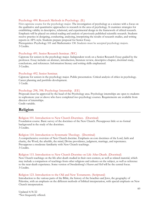## Psychology 490. Research Methods in Psychology. (IL)

First capstone course for the psychology major. The investigation of psychology as a science with a focus on the qualitative and quantitative approaches to research in the area of psychology. It examines strategies for establishing validity in descriptive, relational, and experimental design in the framework of ethical research. Emphasis will be placed on critical reading and analysis of previously published scientific research. Students receive practice in designing, conducting, analyzing, interpreting the results of research studies, and writing reports in APA style. Students prepare proposal for Senior Essay.

Prerequisites: Psychology 101 and Mathematics 130. Students must be accepted psychology majors. 3 Credits.

#### Psychology 491. Senior Research Seminar. (WC)

Capstone for seniors in the psychology major. Independent work on a Senior Research Essay guided by the professor. Essay includes an abstract, introduction, literature review, descriptive chapter, doctrinal study, conclusions, and references. Information literacy and writing skills emphasized. 3 Credits.

#### Psychology 492. Senior Seminar.

Capstone for seniors in the psychology major. Public presentation. Critical analysis of ethics in psychology. Career planning and portfolio development. 1 Credit.

#### Psychology 298, 398. Psychology Internship. (EE)

Proposals must be approved by the head of the Psychology area. Psychology internships are open to students in sophomore year or above who have completed two psychology courses. Requirements are available from director of internships.

Credit variable.

## **Religion**

#### Religion 101. Introduction to New Church Doctrines. (Doctrinal)

Foundation course. Basic survey of the doctrines of the New Church. Presupposes little or no formal background in the study of the doctrines.

3 Credits.

#### Religion 110. Introduction to Systematic Theology. (Doctrinal)

A comprehensive overview of New Church doctrine. Emphasis on core doctrines of the Lord, faith and charity, the Word, the afterlife, the mind, Divine providence, judgment, marriage, and repentance. Presupposes a moderate familiarity with New Church teachings. 3 Credits.

#### Religion 115. Introduction to New Church Doctrine on Life After Death. (Doctrinal)

New Church teachings on the life after death studied in their own context, as well as related material, which may include a comparison of teachings from other religions and cultures on the subject, as well as reference to the near-death experience. Some version of Swedenborg's *Heaven and Hell* will be the central focus. 3 Credits.

#### Religion 123. Introduction to the Old and New Testaments. (Scriptural)

Introduction to the various parts of the Bible, the history of the Israelites and Jews, the geography of Palestine, with an emphasis on the different methods of biblical interpretation, with special emphasis on New Church interpretation.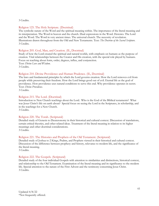3 Credits.

#### Religion 125. The Holy Scripture. (Doctrinal)

The symbolic nature of the Word and the spiritual meaning within. The importance of the literal meaning and its interpretation. The Word in heaven and the church. Dual expressions in the Word. Heresies. The Lord and the Word. The Word in very ancient times. The universal church. The necessity of revelation. Illustrations drawn throughout from the Old and New Testaments. Text: *The Doctrine of the Sacred Scripture*. 3 Credits.

#### Religion 205. God, Man, and Creation. (IL, Doctrinal)

Study of how the Lord created the spiritual and natural worlds, with emphasis on humans as the purpose of creation. Vital relationships between the Creator and His creation, with the special role played by humans. Focus on teaching about form, order, degrees, influx, and conjunction. Text: *Divine Love and Wisdom*. 3 Credits.

#### Religion 210. Divine Providence and Human Prudence. (IL, Doctrinal)

The laws and fundamental principles by which the Lord governs creation. How the Lord removes evil from people while preserving their freedom. How the Lord brings good out of evil. Eternal life as the goal of providence. How providence uses natural conditions to serve this end. Why providence operates in secret. Text: *Divine Providence*.

3 Credits.

#### Religion 215. The Lord. (Doctrinal)

Introduction to New Church teachings about the Lord. Who is the God of the Biblical testaments? What was Jesus Christ's life on earth about? Special focus on seeing the Lord in the Scriptures, in scholarship, and in the teachings for a New Church.

3 Credits.

#### Religion 220. The Torah. (Scriptural)

Detailed study of Genesis to Deuteronomy in their historical and cultural context. Discussion of translations, certain critical theories, and other related ideas. Treatment of the literal meaning in relation to its higher meanings and other doctrinal considerations. 3 Credits.

#### Religion 221. The Histories and Prophets of the Old Testament. (Scriptural)

Detailed study of Joshua to 2 Kings, Psalms, and Prophets viewed in their historical and cultural context. Discussion of the difference between prophesy and history, relevance to modern life, and the significance of the literal meaning.

3 Credits.

#### Religion 222. The Gospels. (Scriptural)

Detailed study of the four individual Gospels with attention to similarities and distinctions, historical context, and relationship to the Old Testament. Examination of the literal meaning and its significance to the modern life. Special attention to the nature of the First Advent and the testimony concerning Jesus Christ. 3 Credits.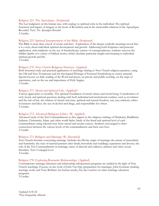#### Religion 223. The Apocalypse. (Scriptural)

The Last Judgment on the human race, with analogy to spiritual crisis in the individual. The spiritual functions and impact of imagery in the book of Revelation and in the memorable relations in the Apocalypse Revealed. Text: *The Apocalypse Revealed*.

3 Credits.

#### Religion 225. Spiritual Interpretation of the Bible. (Scriptural)

The Bible is more than a book of stories and laws. Exploration of the deeper symbolic meanings reveal that it is a story about individual spiritual development and growth. Addressing both Scriptures and personal application, with emphasis on the use of Swedenborg's science of correspondences, students uncover the hidden depths of a variety of biblical stories, which elucidate particular insight and meaning to individual spiritual growth and life.

3 Credits.

#### Religion 270. New Church Religious Practices. (Applied)

Both doctrinal study and practical application of teachings relating to New Church religious practices, using the Old and New Testaments and the theological Writings of Emanuel Swedenborg as source material. Special focuses on daily reading of the Word and prayer, on private and public worship, on the steps of repentance, and on the use and importance of Holy Supper. 3 Credits.

#### Religion 271. Moral and Spiritual Life. (Applied)\*

Various approaches to morality. The spiritual foundation of moral virtues and moral living. Consideration of civil, moral, and spiritual questions dealing with both individual and institutional conduct, such as revolution and the rule of law, the relation of church and state, spiritual and natural freedom, war, race relations, ethics in business and labor, the use of alcohol and drugs, and responsibility for others. 3 Credits.

#### Religion 272. Advanced Religious Ethics. (W, Applied)

Advanced study of the Ten Commandments as they appear in the religious writings of Hinduism, Buddhism, Judaism, Christianity, Islam, and other world faiths. Study of the literal and spiritual level of each commandment using selected texts from sacred and secular sources. Students encouraged to draw connections between the various levels of the commandments and their own lives. 3 Credits

#### Religion 273. Religion and Marriage (W, Doctrinal)

New Church doctrine concerning marriage. Includes the Divine origin of marriage; the nature of masculinity and femininity; the state of married partners after death; betrothals and weddings; separation and divorce; the role of the Ten Commandments in marriage; states of discord and coldness; adultery and other sexual disorders. Text: Conjugial Love. 3 Credits.

#### Religion 278. Exploring Romantic Relationships. (Applied)

Contemporary marriage education and relationship enhancement programs are studied in the light of New Church teachings. Focuses on the work of John Van Epp (preparation for marriage), John Gottman (making marriage work) and Tony Robbins (six human needs), but also touches on other marriage education programs.

3 Credits.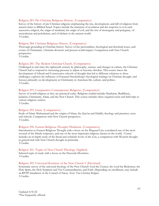### Religion 283. Pre-Christian Religious History. (Comparative)

Survey of the history of pre-Christian religions emphasizing the rise, development, and fall of religions from ancient times to Biblical Israel. Topics include the character of revelation and the response to it in each successive religion, the origin of mankind, the origin of evil, and the rise of monogamy and polygamy, of monotheism and polytheism, and of idolatry in the ancient world. 3 Credits.

## Religion 284. Christian Religious History. (Comparative)

Thorough grounding in Christian history. Survey of the personalities, theological and doctrinal issues, and events of Christianity. Christian divisions and present world-impact. Comparison with New Church perspective.

3 Credits.

## Religion 285. The Modern Christian Church. (Comparative)

Challenged in and since the eighteenth century by philosophy, science, and changes in culture, the Christian Church had to respond to increasing pressure to adjust or become obsolete. This course traces the development of Liberal and Conservative schools of thought that led to different solutions to these challenges, explores the influence of Emanuel Swedenborg's theological writings on Christian thought, and focuses primarily on developments in Christianity in American life, culture, and politics. 3 Credits.

#### Religion 293. Comparative Contemporary Religions. (Comparative)

Survey of world religions as they are practiced today. Religions studied include Hinduism, Buddhism, Judaism, Christianity, Islam, and the New Church. This course includes three required week-end field trips to various religious centers.

3 Credits.

#### Religion 295. Islam. (Comparative)

Study of Islam: Muhammad and the origins of Islam, the Qur'an and Hadith, theology and practices, sects and schools. Comparison with New Church perspective. 3 Credits.

#### Religion 296. Eastern Religious Thought/Hinduism. (Comparative)

Introduction to Eastern Religious Thought with a focus on the *Bhagavad Gita*, considered one of the most revered of the Hindu scriptures, and one of the most important religious classics in the world. Course includes an in-depth study of the literal and symbolic levels of the *Gita*, a comparison with Western thought in general and with New Church thought in particular. 3 Credits.

## Religion 301. Topics in New Church Theology (Applied).

Selected topic of study with a focus on the Heavenly Doctrines. 3 Credits.

#### Religion 305. Universal Doctrines of the New Church I. (Doctrinal)

Systematic survey of the universal theology of the New Church: God the Creator, the Lord the Redeemer, the Holy Spirit, the Holy Scripture and Ten Commandments, and Faith. Depending on enrollment, may include an RTTP simulation of the Council of Nicea. Text: *True Christian Religion*. 3 Credits.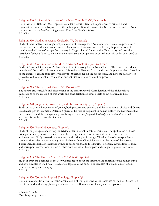#### Religion 306. Universal Doctrines of the New Church II. (W, Doctrinal)

Continuation of Religion 305. Topics include faith, charity, free will, repentance, reformation and regeneration, imputation, baptism, and the holy supper. Special focus on the Second Advent and the New Church: what does God's coming entail? Text: *True Christian Religion*. 3 Credits.

#### Religion 310. Studies in Arcana Coelestia. (W, Doctrinal)

Study of Emanuel Swedenborg's first publication of theology for a New Church. The course provides an overview of the work's spiritual exegesis of Genesis and Exodus--from the first mythopoeic stories of creation to the Israelites' escape from slavery in Egypt. Special focus on the Abram story and how the narrative of Jehovah's call to humankind contains an ancient picture of our relationship with a Human God. 3 Credits.

#### Religion 311. Continuation of Studies in Arcana Coelestia. (W, Doctrinal)

Study of Emanuel Swedenborg's first publication of theology for the New Church. The course provides an overview of the work's spiritual exegesis of Genesis and Exodus-from the first mythopoeic stories of creation to the Israelites' escape from slavery in Egypt. Special focus on the Moses story, and how the narrative of Jehovah's call to humankind contains an ancient picture of our redemption process. 3 Credits.

#### Religion 315. The Spiritual World. (W, Doctrinal)\*

The nature, structure, life, and phenomena of the spiritual world. Consideration of the philosophical implications of the creation of that world and consideration of other beliefs about heaven and hell. 3 Credits.

#### Religion 320. Judgment, Providence, and Human Society. (PP, Applied)

Study of the spiritual process of judgment, both personal and societal, and the roles human choice and Divine Providence play in judgment. Attention given to the role of judgment in human history, the judgments that have occurred, and the changes judgment brings. Text: *Last Judgment, Last Judgment Continued,* assorted selections from the Heavenly Doctrines. 3 Credits.

#### Religion 330. Sacred Geometry. (Applied)

Study of the principles underlying the Divine order inherent in natural forms and the application of those principles to the symbolic meaning of number and geometric form in art and architecture. Classical architecture explicitly invoked symbolic geometric principles in design. The doctrine of correspondence connects the ancient understanding of symbolism to New Church ideas about the order of the cosmos. Topics include: qualitative number, symbolic proportions, and the doctrines of order, influx, degrees, form, and correspondences. Combination of classroom lecture with compass and straight-edge constructions. 3 Credits.

#### Religion 335. The Human Mind. (Rel335 W is W, Applied)

Study of what the doctrines of the New Church teach about the structure and function of the human mind and how it relates to the brain. The discrete degrees of the mind. The faculties of will and understanding, their relationship and interplay.

3 Credits.

#### Religion 370. Topics in Applied Theology. (Applied)\*

Content may vary from year to year. Consideration of the light shed by the doctrines of the New Church on the ethical and underlying philosophical concerns of different areas of study and occupations.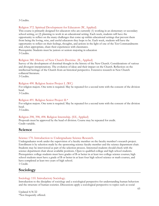3 Credits.

## Religion 372. Spiritual Development for Educators (W, Applied)

This course is primarily designed for educators who are currently (1) working in an elementary or secondary school setting, or (2) planning to work in an educational setting. Each week, students will have the opportunity to reflect on the many challenges that come up within educational settings that prevent them from being the loving, wise, and useful educators they hope to be. Each week, students will have the opportunity to reflect on their feelings, thoughts, and actions in the light of one of the Ten Commandments and, when appropriate, share their experiences with classmates.

Prerequisite: Students must be juniors or seniors majoring in education 3 Credits.

## Religion 380. History of New Church Doctrine. (IL, Applied)

Survey of the development of doctrinal thought in the history of the New Church. Considerations of various and divergent interpretations. The evolution of ideas and their impact on the Church. Reflection on the intellectual heritage of the Church from an historical perspective. Extensive research in New Church collateral literature.

3 Credits.

#### Religion 490. Religion Senior Project I. (WC)

For religion majors. One term is required. May be repeated for a second term with the consent of the division head.

3 Credits.

#### Religion 491. Religion Senior Project II.\*

For religion majors. One term is required. May be repeated for a second term with the consent of the division head.

3 Credits.

## Religion 298, 398, 498. Religion Internship. (EE, Applied)

Proposals must be approved by the head of division. Course may be repeated for credit. Credit variable.

## **Science**

## Science 170. Introduction to Undergraduate Science Research.

Undergraduates work under the supervision of a faculty member on the faculty member's research project. Enrollment is by selection made by the sponsoring science faculty member and the science department chair. Students may be interviewed as part of the selection process. Interested students should check with the science department chair about available positions. Open to qualified college and high school students. Prerequisites: college students must have grades of B or better in at least two college science courses; high school students must have a grade of B or better in at least four high school science or math courses, and have completed at least two years of high school. 1 Credit.

## **Sociology**

## Sociology 110. Introductory Sociology.

Introduction to the discipline of sociology and a sociological perspective for understanding human behaviors and the structure of human societies. Discussions apply a sociological perspective to topics such as social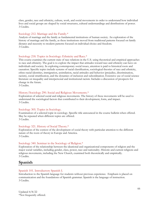class, gender, race and ethnicity, culture, work, and social movements in order to understand how individual lives and social groups are shaped by social structures, cultural understandings and distributions of power. 3 Credits.

#### Sociology 212. Marriage and the Family.\*

Analysis of marriage and the family as fundamental institutions of human society. An exploration of the history of marriage and the family, as these institutions moved from traditional patterns focused on family dictates and necessity to modern patterns focused on individual choice and freedom. 3 Credits.

#### Sociology 218. Topics in Sociology: Ethnicity and Race.\*

This course examines the current state of race relations in the U.S. using theoretical and empirical approaches to race and ethnicity. The goal is to explore the impact that attitudes toward race and ethnicity can have on individuals and society. In exploring contemporary social issues, attention is paid to historical roots and causation. Specific topics include systems of racial classification, sociological theories of race and ethnicity, ethno-racial identities, immigration, assimilation, racial attitudes and behavior (prejudice, discrimination, racism), social stratification, and the dynamics of inclusion and subordination. Extensive use of social science literature on inequality and interpersonal and institutional racism. Includes a discussion of prospects for change in the future.

3 Credits.

#### History/Sociology 290. Social and Religious Movements.\*

Exploration of selected social and religious movements. The history of these movements will be used to understand the sociological factors that contributed to their development, form, and impact. 3 Credits.

#### Sociology 305. Topics in Sociology.

Examination of a selected topic in sociology. Specific title announced in the course bulletin when offered. May be repeated when different topics are offered. 3 Credits.

#### Sociology 321. History of Social Theory.\*

Exploration of the context of the development of social theory with particular attention to the different nature of the roots of theory in Europe and America. 3 Credits.

## Sociology 340. Seminar in the Sociology of Religion.\*

Exploration of the relationship between the ideational and organizational components of religion and the major social variables, including gender, class, power, race and nationality. Historic and current religions and religious movements, including the New Church, examined both theoretically and empirically. 3 Credits.

## **Spanish**

#### Spanish 101. Introductory Spanish I.

Introduction to the Spanish language for students without previous experience. Emphasis is placed on communication and the foundations of Spanish grammar. Spanish is the language of instruction. 3 Credits.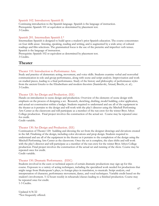#### Spanish 102. Introductory Spanish II.

Continuing introduction to the Spanish language. Spanish is the language of instruction. Prerequisite: Spanish 101 or equivalent as determined by placement test. 3 Credits.

#### Spanish 201. Intermediate Spanish I.\*

Intermediate Spanish is designed to build upon a student's prior Spanish education. The course concentrates on four skills areas: listening, speaking, reading and writing, and is augmented by a wide array of cultural readings and film selections. The grammatical focus is the use of the preterite and imperfect verb tenses. Spanish is the language of instruction.

Prerequisite: Spanish 102 or equivalent as determined by placement test. 3 Credits.

## **Theater**

#### Theater 110. Introduction to Performance Arts.

Study and practice of elementary acting, movement, and voice skills. Students examine verbal and nonverbal communication in solo and group performance, along with scene and script analysis. Improvisation and work on studied pieces, leading to a final performance. Study of the history and philosophy of performance styles from the ancient Greeks to the Elizabethans and modern theorists (Stanislavski, Artaud, Brecht, et. al.). 3 Credits.

### Theater 120. Set Design and Production. (EE)

Hands-on introduction to scene design and production. Overview of the elements of scene design with emphasis on the process of designing a set. Research, sketching, drafting, model building, color application, and actual set construction within a budget. Students required to understand and use all of the equipment in the theater as it pertains to the design and will work with the play's director using the Mitchell Performing Arts Center as the classroom and will participate as a member of the run-crew for the winter Bryn Athyn College production. Final project involves the construction of the actual set. Course may be repeated once for credit.

Credit variable.

#### Theater 130. Set Design and Production. (EE)

Continuation of Theater 120: building and dressing the set from the designer drawings and elevations created in the fall. Finalizing of the design, including color elevations and prop design. Students required to understand and use all of the equipment in the theater as it pertains to the completion of the design using the Mitchell Performing Arts Center as the classroom. Once the set is complete, the class shifts and will work with the play's director and will participate as a member of the run-crew for the winter Bryn Athyn College production. Final project involves the construction of the actual set and running of the show. Course may be repeated once for credit.

Credit variable.

#### Theater 150. Dramatic Performance. (EEC)

Students involved in the casts or technical aspects of certain dramatic productions may sign up for this course. Exposure to a variety of acting techniques, including the specialized work needed for productions that might range from Shakespeare's plays, to foreign plays in translation, to musicals. Script analysis, oral interpretation of character, performance movement, dance, and vocal techniques. Variable credit based on the student's involvement. 5-12 hours weekly in rehearsals/classes leading to a finished production. Course may be repeated once for credit. 1-3 Credits.

Updated 4/8/22 \*Not frequently offered.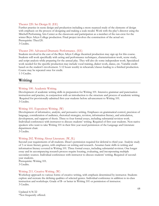#### Theater 220. Set Design II. (EE)

Further practice in scene design and production including a more nuanced study of the elements of design with emphasis on the process of designing and making a scale model. Work with the play's director using the Mitchell Performing Arts Center as the classroom and participation as a member of the run-crew for the winter Bryn Athyn College production. Final project involves the construction of the actual set. Prerequisite: Thea120.

3 Credits.

#### Theater 250. Advanced Dramatic Performance. (EE)

Students involved in the cast of the Bryn Athyn College theatrical production may sign up for this course. Students will work specifically with acting and performance techniques, characterization work, scene study, and script analysis while preparing for the annual play. They will also do some independent work. Specialized work needed for the specific production may include vocal training, dialect work, dance, etc. Variable credit based on the student's involvement. 5-12 hours weekly in rehearsals/classes leading to a finished production. Course may be repeated once for credit.

1-3 Credits.

## **Writing**

#### Writing 100. Academic Writing.

Development of academic writing skills in preparation for Writing 101. Intensive grammar and punctuation instruction and practice, in conjunction with an introduction to the structure and process of academic writing. Required for provisionally-admitted first-year students before advancement to Writing 101. 3 Credits.

#### Writing 101. Expository Writing. (W)

Development of informative, analytic, and persuasive writing. Emphases on grammatical control, precision of language, consideration of audience, rhetorical strategies, revision, information literacy, and articulation, development, and support of thesis. Three to four formal essays, including substantial revision work. Individual conferences with instructor to discuss students' writing. Required of first year students. Non-native speakers who want to take Writing 101 in their first year need permission of the Language and Literature department chair.

3 Credits.

#### Writing 202. Writing About Literature. (W, IL)

Second-year requirements of all students. Dean's permission required for deferral to third year. Analytic study of 3 or more literary genres, with emphases on writing and research. Assumes basic skills in writing and information literacy covered in Writing 101. Three formal essays, including substantial revision. One longer essay and its accompanying research process require locating, evaluating, and incorporating multiple secondary sources. Individual conferences with instructor to discuss students' writing. Required of secondyear students.

Prerequisite: Writing 101. 3 Credits.

#### Writing 211. Creative Writing. (W)

Workshop approach to various forms of creative writing, with emphasis determined by instructor. Students explore and recreate the defining qualities of selected genres. Individual conference in addition to in-class instruction and workshops. Grade of B- or better in Writing 101 or permission of instructor. 3 Credits.

Updated 4/8/22 \*Not frequently offered.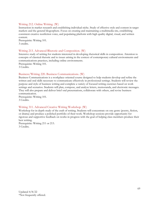## Writing 212. Online Writing. (W)

Instruction in market research and establishing individual niche. Study of effective style and content in target markets and the general blogosphere. Focus on creating and maintaining a multimedia site, establishing consistent creative nonfiction voice, and populating platform with high quality digital, visual, and written content.

Prerequisite: Writing 101. 3 credits.

### Writing 213. Advanced Rhetoric and Composition. (W)

Intensive study of writing for students interested in developing rhetorical skills in composition. Attention to concepts of classical rhetoric and to issues arising in the context of contemporary cultural environments and communications practices, including online environments. Prerequisite: Writing 101.

3 Credits.

#### Business/Writing 220. Business Communications. (W)

Business Communications is a workplace-oriented course designed to help students develop and refine the written and oral skills necessary to communicate effectively in professional settings. Students will review the purpose and style of business writing and complete a variety of focused writing exercises based on work settings and scenarios. Students will plan, compose, and analyze letters, memoranda, and electronic messages. They will also prepare and deliver brief oral presentations, collaborate with others, and revise business communication.

Prerequisite: Writing 101. 3 Credits.

## Writing 311. Advanced Creative Writing Workshop. (W)

Workshop for in-depth study of the craft of writing. Students will concentrate on one genre (poetry, fiction, or drama) and produce a polished portfolio of their work. Workshop sessions provide opportunity for rigorous and supportive feedback on works in progress with the goal of helping class members produce their best writing.

Prerequisite: Writing 211 or 213. 3 Credits.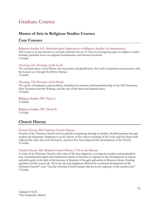# Graduate Courses

## **Master of Arts in Religious Studies Courses**

## **Core Courses**

Religious Studies 510. Methodological Approaches to Religious Studies-An Introduction.

This course is an introduction to research methods that are of value in investigating topics in religious studies. Includes particular focus on scriptural hermeneutics and historical methods. 3 Credits.

## Theology 514. Doctrine of the Lord.

The essential nature of the Divine, the incarnation and glorification, the Lord's temptations and presence with the human race through the Divine Human. 3 Credits.

## Theology 518. Doctrine of the Word.

The nature of inspiration and revelation, including the structure and interrelationship of the Old Testament, New Testament and the Writings, and the role of the literal and spiritual sense. 3 Credits.

Religious Studies 598. Thesis I. 3 Credits.

Religious Studies 599. Thesis II. 3 Credits.

## **Church History**

## Church History 584. Christian Church History.

Growth of the Christian Church from its primitive beginnings through its decline, the Reformation through modern developments. Emphasis is on the history of the various teachings of the Lord, and how these both reflected the times they were devised in, and how they have impacted the development of the Church. 3 Credits.

#### Church History 585. Modern Church History 1750 to the Present.

A study of the Christian Church in the wake of the Last Judgment, covering the modern and postmodern eras, examining theological and institutional trends of churches in response to the development of science and philosophy in the light of the increase of freedom of thought and action in Western culture. Guiding questions for the course ask, "How has the Last Judgment affected the continued development of the Christian Church?", and, "Can the Christian Church remain relevant in the trajectory of the modern era?" 3 Credits.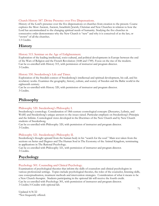### Church History 587. Divine Presence over Five Dispensations.

History of the Lord's presence over the five dispensations or churches from creation to the present. Course explores the Most Ancient, Ancient, Israelitish/Jewish, Christian and New Churches in relation to how the Lord has accommodated to the changing spiritual needs of humanity. Studying the five churches in consecutive order demonstrates why the New Church is "new" and why it is conceived of as the last, or "crown" of all the churches.

1.5 Credits.

## **History**

## History 515. Seminar on the Age of Enlightenment.

Exploration of the leading intellectual, socio-cultural, and political developments in Europe between the end of the Wars of Religion and the French Revolution (1648 and 1789). Focus on the rise of the modern. Can be co-enrolled with History 315, with permission of instructor and program director. 3 Credits.

## History 550. Swedenborg's Life and Times.

Exploration of the Swedish context of Swedenborg's intellectual and spiritual development, his call, and his revelatory works. Examines the geography, history, culture, and society of Sweden and the Baltic world in the eighteenth century.

Can be co-enrolled with History 320, with permission of instructor and program director. 3 Credits.

## **Philosophy**

#### Philosophy 520. Swedenborg's Philosophy I.

Swedenborg's cosmology. Consideration of 18th-century cosmological concepts (Descartes, Leibniz, and Wolff) and Swedenborg's unique answers to the issues raised. Particular emphasis on Swedenborg's Principia and the Infinite. Cosmological views developed in the Doctrines of the New Church and by New Church students of Swedenborg.

Can be co-enrolled with Philosophy 320, with permission of instructor and program director. 3 Credits.

#### Philosophy 521. Swedenborg's Philosophy II.

Swedenborg's thought upward from the human body in his "search for the soul." Main text taken from the sections on Series and Degrees and The Human Soul in The Economy of the Animal Kingdom, terminating in applications in The Rational Psychology.

Can be co-enrolled with Philosophy 321, with permission of instructor and program director. 3 Credits.

## **Psychology**

#### Psychology 501. Counseling and Clinical Psychology.

Examination of psychological theories that inform the skills of counselors and clinical psychologists in various professional settings. Topics include psychological theories, the roles of the counselor, listening skills, case conceptualization, treatment methods and intervention strategies. Consideration of what it means to be a New Church therapist. Students participating in the optional lab will receive the fourth credit. Can be co-enrolled with Psychology 301, with permission of instructor and program director. 3 Credits/4 Credits with optional lab.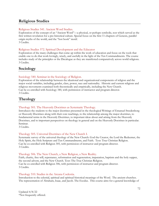## **Religious Studies**

## Religious Studies 541. Ancient Word Studies.

Exploration of the concept of an "Ancient Word"—a physical, or perhaps symbolic, text which served as the first written revelation for a pre-historical culture. Special focus on the first 11 chapters of Genesis, parallel origin myths of the world, and the "lost book" motif. 3 Credits.

### Religious Studies 572. Spiritual Development and the Educator

Exploration of the many challenges that come up within the work of education and focus on the tools that enable one to do that work lovingly, wisely, and usefully in the light of the Ten Commandments. The course includes study of the principles or the Decalogue as they are manifested comparatively across world religions. 3 Credits.

## **Sociology**

## Sociology 540. Seminar in the Sociology of Religion.

Exploration of the relationship between the ideational and organizational components of religion and the major social variables, including gender, class, power, race and nationality. Historic and current religions and religious movements examined both theoretically and empirically, including the New Church. Can be co-enrolled with Sociology 340, with permission of instructor and program director. 3 Credits.

## **Theology**

#### Theology 501. The Heavenly Doctrines as Systematic Theology.

Introduces the students to the major doctrines presented in the theological Writings of Emanuel Swedenborg or Heavenly Doctrines along with their core teachings, to the relationship among the major doctrines, to fundamental terms in the Heavenly Doctrines, to important ideas about and arising from the Heavenly Doctrines, and to important perspectives on theology in general and on the Heavenly Doctrines in particular. Seminar.

3 Credits.

#### Theology 505. Universal Doctrines of the New Church I.

Systematic survey of the universal theology of the New Church: God the Creator, the Lord the Redeemer, the Holy Spirit, the Holy Scripture and Ten Commandments, and Faith. Text: True Christian Religion. Can be co-enrolled with Religion 305, with permission of instructor and program director. 3 Credits.

#### Theology 506. The New Church, a New Religion, a New Reality.

Faith, charity, free will, repentance, reformation and regeneration, imputation, baptism and the holy supper, the second advent, and the New Church. Text: The True Christian Religion. Can be co-enrolled with Religion 306, with permission of instructor and program director. 3 Credits.

#### Theology 510. Studies in the Arcana Coelestia.

Introduction to the celestial, spiritual and spiritual-historical meanings of the Word. The ancient churches. The representation of Abraham, Isaac, and Jacob. The Exodus. This course aims for a general knowledge of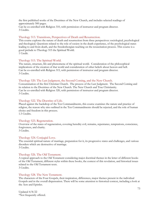the first published works of the Doctrines of the New Church, and includes selected readings of approximately 500 pages.

Can be co-enrolled with Religion 310, with permission of instructor and program director. 3 Credits.

# Theology 513. Transitions, Perspectives of Death and Resurrection.

This course explores the nature of death and resurrection from three perspectives: sociological, psychological and theological. Questions related to the role of society in the death experience, of the psychological states leading to and from death, and the Swedenborgian teaching on the resuscitation process. This course is a good prelude to Theology 515 the Spiritual World. 1 Credit.

# Theology 515. The Spiritual World.

The nature, structure, life and phenomena of the spiritual world. Consideration of the philosophical implications of the creation of that world and consideration of other beliefs about heaven and hell. Can be co-enrolled with Religion 315, with permission of instructor and program director. 3 Credits.

#### Theology 520. The Last Judgment, the Second Coming, and the New Church.

Consummation of the first Christian Church. The process of the Last Judgment. The Second Coming and its relation to the Doctrines of the New Church. The New Church and True Christianity. Can be co-enrolled with Religion 320, with permission of instructor and program director. 3 Credits.

# Theology 522. The Doctrine of Life.

Placed against the backdrop of the Ten Commandments, this course examines the nature and practice of religion, the reason why sins outlined in the Ten Commandments should be rejected, and the role of human choice and freedom in this process.

1.5 Credits.

#### Theology 523. Regeneration.

Overview of the states of regeneration, covering heredity evil, remains, repentance, temptations, conscience, forgiveness, and charity. 3 Credits.

#### Theology 524. Conjugial Love.

The essential spiritual nature of marriage, preparation for it, its progressive states and challenges, and various disorders which are destructive of marriage. 3 Credits.

#### Theology 526. The Old Testament.

A topical approach to the Old Testament considering major doctrinal themes in the letter of different books of the Old Testament, different styles within these books, the context of this revelation, and historical issues related to the Old Testament texts.

3 Credits.

#### Theology 528. The New Testament.

The characters of the Four Gospels, their inspiration, differences, major themes present in the individual Gospels and in the overall dispensation. There will be some attention to historical context, including a look at the Acts and Epistles.

Updated 4/8/22 \*Not frequently offered.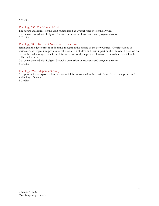3 Credits.

# Theology 535. The Human Mind.

The nature and degrees of the adult human mind as a vessel receptive of the Divine. Can be co-enrolled with Religion 335, with permission of instructor and program director. 3 Credits.

# Theology 580. History of New Church Doctrine.

Seminar in the development of doctrinal thought in the history of the New Church. Considerations of various and divergent interpretations. The evolution of ideas and their impact on the Church. Reflection on the intellectual heritage of the Church from an historical perspective. Extensive research in New Church collateral literature.

Can be co-enrolled with Religion 380, with permission of instructor and program director. 3 Credits.

# Theology 599. Independent Study.

An opportunity to explore subject matter which is not covered in the curriculum. Based on approval and availability of faculty.

3 Credits.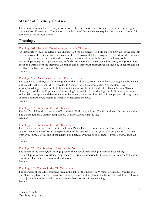# **Master of Divinity Courses**

The administration will make every effort to offer the courses listed in this catalog, but reserves the right to cancel courses if necessary. Completion of the Master of Divinity degree requires the student to successfully complete all the courses below.

# **Theology**

# Theology 601. Heavenly Doctrines as Systematic Theology.

An introductory course required of all Theological School students. Its purpose is to provide for the students the framework, the context, and the direction of the Theological School program. It introduces the students to the major doctrines presented in the Heavenly Doctrines along with their core teachings, to the relationship among the major doctrines, to fundamental terms in the Heavenly Doctrines, to important ideas about and arising from the Heavenly Doctrines, and to important perspectives on theology in general and on the Heavenly Doctrines in particular.

Seminar.

# Theology 612. Doctrine of the Lord: The Incarnation.

The systematic teachings of the Writings about the Lord: His essential nature from eternity; His relationship with us before the advent; why He needed to "come"; what He accomplished (redemption), how He accomplished it (glorification of His human); the enduring effect of the glorified Divine Natural/Divine Human, and of the Lord's presence /"proceeding" through it. In considering His glorification process we look at His conception and development in the human, and especially at His spiritual progress through states of temptations, the very means by which He subjugated the hells. Seminar.

# Theology 614. Studies on the Glorification: I.

The Lord's childhood. Acquisition of knowledge. Early temptations. The first rational. Divine perception. The Divine Rational. Inmost temptations. (*Arcana Caelestia*, chap. 12-22). Seminar.

# Theology 616. Studies on the Glorification: II.

The conjunction of good and truth in the Lord's Divine Rational. Conception and birth of the Divine Natural. Appearances of truth. The glorification of the Natural. Mediate good. The conjunction of natural truth with spiritual good, and of the Divine good natural with the good of truth. (*Arcana Caelestia*, chap. 23- 33).

Seminar.

# Theology 620. The Revelation Given to the New Church.

The nature of the theological Writings given to the New Church through Emanuel Swedenborg. Its relationship to former revelations. Approaches to forming a doctrine for the church in response to the new revelation. The nature and role of that doctrine. Seminar.

# Theology 626. Themes in the Old Testament.

The character of the Old Testament, seen in the light of the theological Writings of Emanuel Swedenborg (the "Heavenly Doctrine"). The nature of its inspirations and its place in the history of revelation. A look at the major themes in the literal sense that are the basis for its spiritual meaning. Seminar.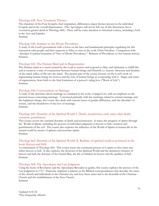#### Theology 628. New Testament Themes.

The character of the Four Gospels, their inspiration, differences, major themes present in the individual Gospels and in the overall dispensation. (The Apocalypse will not be left out of this discussion, but is covered in greater detail in Theology 668.) There will be some attention to historical context, including a look at the Acts and Epistles.

Seminar.

#### Theology 640. Seminar on the Divine Providence.

A study of the Lord's government with a focus on the laws and fundamental principles regulating the His interaction with people and their response to Him, as seen in the work *Divine Providence*. Comparison with *Apocalypse Explained* treatment of "laws of Divine Providence." Relation of Providence to free human activity. Seminar.

# Theology 642. The Human Mind and its Regeneration.

The Human mind as a vessel created by the Lord to receive and respond to Him, and ultimately to fulfill His end in creation: a state of conjunction between human beings and Himself, i.e. heaven. Structure and faculties of the mind, influx of life into the mind. The greater part of the course focuses on the Lord's work of regenerating human beings for heaven and the role of human beings in cooperating with it. Stages and states of regeneration, from birth to the final formation of a person's ruling love ("Book of Life"). Seminar.

#### Theology 646. Conversations on Marriage.

A study of the doctrines about marriage as contained in the work, *Conjugial Love*, with an emphasis on the pastoral issues concerning marriage. Concerned primarily with the teachings related to eternal marriage and the happiness brings, this course also deals with current issues of gender difference, with the disorders of society, and the breakdown of the love of marriage. Seminar.

# Theology 660. Doctrine of the Spiritual World: I. Death, resurrection, early states after death, vastation, punishment.

This course covers the essential doctrine of death and resurrection. It traces the progress of spirits through the World of Spirits, including the process of individual judgment to heaven or hell, vastation and punishments of the evil. The course also explores the influence of the World of Spirits in human life in the natural world by means of spheres and associate spirits. Seminar.

# Theology 662. Doctrine of the Spiritual World: II. Realities of spiritual world as portrayed in the book Heaven and Hell.

A continuation of Theology 660. This course traces the continued process of a spirits as they enter into either heaven or hell. It also explores the divisions of the Spiritual World and the distinctive features of heaven and hell, the doctrine of the Grand Man, the life of children in heaven and the qualities of hell. Seminar.

# Theology 668. The Apocalypse and Last Judgment.

Using the book of Revelation and the Apocalypse Revealed as guides, this course explores the process of the Last Judgment in 1757. Particular emphasis is placed on the Biblical correspondences that describe the states of the church and individuals in the Christian era, and how these states led to the downfall of the Christian Church and the establishment of the New Church. Seminar.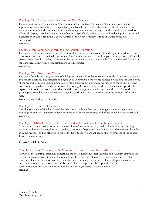# Theology 690. Evangelization Doctrine and Best Practices.

This course introduces students to New Church theological teachings concerning evangelization and applications drawn from these concepts that guide New Church outreach practices. It will familiarize the student with trends and best practices in the church growth industry at large. Students will be prepared to effectively deploy these ideas in a variety of contexts specifically related to pastoral leadership. Resources and consultation available from the General Church of the New Jerusalem Office of Outreach are also introduced.

Workshop.

# Theology 691. Doctrine Concerning New Church Education.

The purpose of this course is to provide an introduction to doctrinal concepts and applications drawn from these concepts that have guided concerning New Church education. It will prepare the students to effectively present these ideas in a variety of contexts. Resources and consultation available from the General Church of the New Jerusalem Office of Education are also introduced. Workshop.

# Theology 695. Dissertation Writing.

The goal of the dissertation, required of all degree students, is to demonstrate the student's ability to present and explain doctrine. The dissertation begins with an approval of the topic selected by the student at the close of the second term of his penultimate year. This is followed by a one term workshop in the spring, offering instruction and guidance on the process of developing the topic. In the workshop students independently explore their topic, and convene to share and discuss findings with the instructor and class. The student is given a personal advisor for the dissertation, who works with him to its completion by February of his final year.

Workshop and Independent Study.

# Theology 710. Pastoral Orientation.

Introductory study of the doctrine of the priesthood, with emphasis on the origins, the uses of, and the workings of ministry. Sections on love of salvation of souls, conscience and effect of evil on the priesthood. Workshop.

# Theology 841-842. Doctrine of the Priesthood and Principles of Church Government.

An analysis of the doctrine concerning the two interrelated uses of the priesthood, teaching and learning. External and internal evangelization. Leading by means of representatives in worship. Government by influx as in the heavens, and by afflux as in the hells. How these two are applied to the government of the church. Two-term Workshop.

# **Church History**

# Church History 682. History of the Most Ancient, Ancient, and Israelitish Churches.

A study of the doctrinal teachings concerning the pre-Advent churches; their rise and fall, with emphasis on the human states of reception and the operations of the Lord in reference to those states in each of the churches. Their sequence is examined in such a way as to illustrate spiritual fullness, despite the recurrent introduction of evil into those churches by men. Special emphasis is laid upon the subject of correspondences and representatives, and their central significance in every church. Seminar.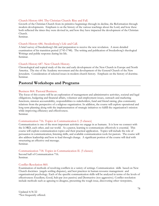# Church History 684. The Christian Church: Rise and Fall.

Growth of the Christian Church from its primitive beginnings through its decline, the Reformation through modern developments. Emphasis is on the history of the various teachings about the Lord, and how these both reflected the times they were devised in, and how they have impacted the development of the Christian Church.

Seminar.

#### Church History 686. Swedenborg's Life and Call.

A brief survey of Swedenborg's life and preparation to receive the new revelation. A more detailed examination of his transition period (1743-1748). The writing and publication of Swedenborg's theological Writings and public response during his life. Seminar.

#### Church History 687. New Church History.

Chronological and topical study of the rise and early development of the New Church in Europe and North America. The rise of the Academy movement and the development of the General Church of the New Jerusalem. Consideration of selected issues in modern church history. Emphasis on the history of doctrine. Seminar.

# **Pastoral Workshops and Programs**

#### Business 864. Pastoral Business.

The focus of this course will be an exploration of management and administrative activities, societal and legal obligations, budgeting and financial affairs, volunteer and employment issues, outreach and marketing functions, mission accountability, responsibilities to stakeholders, fund and friend raising, plus community relations from the perspective of a religious organization. In addition, the course will explore operational and long term planning along with the implementation of strategic initiatives to fulfill the organization's mission while improving efficiency and effectiveness.

Seminar.

#### Communication 716. Topics in Communication I. (5 classes)

Communication is one of the most important activities we engage in as humans. It is how we connect with the LORD, each other, and our world. As a pastor, learning to communicate effectively is essential. This course will explore communication topics and their practical application. Topics will include the role of persuasion in communication, listening skills, and available communication tools for pastors. The course will also address leadership and how to lead through change. A significant portion of the course will deal with structuring an effective oral message. Seminar.

# Communication 718. Topics in Communication II. (5 classes)

Second half of Communication 716. Seminar.

#### Conflict Resolution 860.

Examination of methods of resolving conflicts in a variety of settings. Communication skills based on New Church doctrines (angels settling disputes), and best practices in human resource management and organizational psychology. Each of the specific communication skills will be analyzed in terms of the levels of effectiveness: Excellent, Good, Sub-par (too passive) and Destructive (too aggressive). Conflict resolution include methods such as agreeing to disagree, presenting the tough issue, discovering other viewpoints,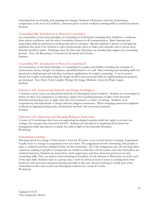remaining firm but friendly, and repairing the damage. Students will practice until they demonstrate competence at the level of Excellence. Attention given to basic mediation training skills as needed by pastors. Seminar.

#### Counselling 844. Introduction to Pastoral Counseling I.

An examination of the basic principles of counseling for individuals, including three facilitative conditions, three action conditions, and the micro boundaries inherent in all communication. Basic listening and responding skills are practiced in small groups and in role plays. Special emphasis is placed on recognizing problems that need to be referred to other professionals, when to make such referrals, and to whom these referrals should be made. Teachings from the Heavenly Doctrines are included that support the counseling process. Text: On Becoming a Counselor by Kennedy and Charles. Seminar.

# Counselling 845. Introduction to Pastoral Counseling II.

An examination of the basic principles of counseling for couples and families including the concepts of homeostasis, fusion, triangles, boundaries, and differentiation of a self. Basic listening and attending skills are practiced in small groups and role plays looking to applications in couples counseling. A seven session format for couples counseling using the Imago model is presented and skills for implementing the program are practiced. Text: Short Term Couples Therapy the Imago Model in Action by Wade Luquet. Seminar.

# Education 631. Instructional Methods and Design for Religion.

A seminar survey course on educational methods for theological school students. Students are encouraged to reflect on their own experiences in education, analyze best teaching practices in light of the Heavenly Doctrine and develop ways to apply what they have learned in a variety of settings. Students work cooperatively and individually to design effective religious instruction. When designing instruction emphasis is placed on aligning learning goals, instructional methods and assessment practices. Seminar.

# Education 634. Delivering and Managing Religious Instruction.

A series of 10 workshops that focus on supporting theological students while they apply, in at least two settings, the concepts they learned in Ed 631. Students are introduced to beginning level classroom management skills and asked to evaluate the skills in light of the Heavenly Doctrines. Workshop.

# Experiential Learning.

Theologs spend an average of three hours a week for 30 weeks a year, in their Service Learning Assignments. Usually there is a change in assignment every ten weeks. The assignments involve interacting with people as aides to ordained and non-ordained leaders in this community. All of the assignments give the theologs direct experience relating to people in settings that are similar to what they will encounter, once they themselves are ordained ministers. Students are assessed by onsite supervisors and their classroom professor on nine connecting skills. They are rated as demonstrating an Excellent, Good, Sub-par or Destructive level for each of the nine skills. Students meet as a group once a week for about an hour to receive coaching from their professor, who possesses advanced training and skills in this area. Service Learning is usually part of the curriculum for first and second year theological students, for a total of 6 terms. Workshop.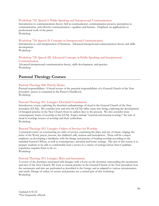# Workshop 720. Speech I: Public Speaking and Interpersonal Communication.

Introduction to communications theory: Self as communicator, communication process, perception in communication, and effective communication—qualities and barriers. Emphasis on applications to professional work of the priest. Workshop.

#### Workshop 724. Speech II: Concepts in Interpersonal Communication.

Introduction to oral interpretation of literature. Advanced interpersonal communication theory and skills development.

Workshop.

# Workshop 728. Speech III: Advanced Concepts in Public Speaking and Interpersonal Communication.

Advanced interpersonal communication theory, skills development, and practice. Workshop.

# **Pastoral Theology Courses**

# Pastoral Theology 848. Priestly Duties.

Pastoral responsibilities. A broad review of the practical responsibilities of a General Church of the New Jerusalem pastor as contained in the Pastor's Handbook. Workshop.

# Pastoral Theology 851. Liturgics: Doctrinal Foundations.

Introductory course exploring the doctrinal underpinnings of ritual in the General Church of the New Jerusalem (GCNJ). We consider how and why the GCNJ office came into being, exploring the development of liturgical practice in the New Church from its earliest days to the present. We also consider more contemporary forms of worship in the GCNJ. Topics include "external and internal worship," the role of ritual in worship, houses of worship and their symbolism. Workshop.

# Pastoral Theology 852. Liturgics: Orders of Services for Worship.

A practical course on constructing an order of service, examining the place and use of music, singing, the letter of the Word, prayer, lessons, the children's talk, sermon and benediction. There will be a major emphasis on developing a familiarity with the liturgy and practice of leading worship according to the standard General Offices, as well as contemporary, informal and home settings. The aim of this course is to prepare students to be able to comfortably lead a service in a variety of settings before their Candidate experience requires them to do so.

Workshop.

#### Pastoral Theology 853. Liturgics: Rites and Sacraments.

A review of the doctrines associated with liturgics with a focus on the doctrines surrounding the sacraments and rites of the New Church. We look at current practice in the General Church of the New Jerusalem: how the sacraments and rites are performed as described in the Liturgy and as adapted to various circumstances and needs. Design of orders of service and practice are a central part of this workshop. Workshop.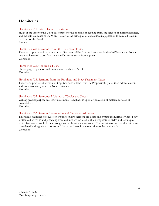# **Homiletics**

# Homiletics 911. Principles of Exposition.

Study of the letter of the Word in reference to the doctrine of genuine truth, the science of correspondences, and the spiritual sense of the Word. Study of the principles of exposition in application to selected texts in the letter of the Word.

Seminar.

# Homiletics 921. Sermons from Old Testament Texts**.**

Theory and practice of sermon writing. Sermons will be from various styles in the Old Testament: from a made-up historical story, from an actual historical story, from a psalm. Workshop.

# Homiletics 922. Children's Talks.

Philosophy, preparation and presentation of children's talks. Workshop.

# Homiletics 923. Sermons from the Prophets and New Testament Texts.

Theory and practice of sermon writing. Sermons will be from the Prophetical style of the Old Testament, and from various styles in the New Testament. Workshop.

# Homiletics 932. Sermons: A Variety of Topics and Focus.

Writing general purpose and festival sermons. Emphasis is upon organization of material for ease of presentation.

Workshop.

# Homiletics 933. Sermon Presentation and Memorial Addresses.

This term of homiletics focuses on writing for how sermons are heard and writing memorial services. Fully written out sermons and preaching from outlines are included with an emphasis on styles and techniques which facilitate or could hamper congregations hearing the message. The function of memorial services are considered in the grieving process and the pastor's role in the transition to the other world. Workshop.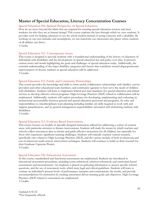# **Master of Special Education, Literacy Concentration Courses**

# Special Education 500. Spiritual Perspective on Special Education.

How do we move beyond the labels that are required for securing special education services and meet students for who they are as human beings? This course explores the lens through which we view students. It provides tools for helping educators to see the whole student instead of seeing someone with a disability. By working on our own attitudes and assumptions, we can transform our classrooms into places where students of all abilities can thrive.

1 Credit.

# Special Education 511. Contemporary Issues.

This course is designed to provide students with a foundational understanding of the history of education of individuals with disabilities and the development of special education law and policy over time. It presents current issues and trends highlighting the goals and challenges of special education today. Additionally, the essential understanding of the major disability categories and factors that contribute toward disproportionate representation of diverse students in special education will be addressed. 3 Credits.

# Special Education 512. Family and Community Partnerships.

This course provides the knowledge and skills to form useful, collaborative relationships with families, service providers and other educational team members, and community agencies to best serve the needs of children with disabilities. Students will learn to implement federal and state mandates for special education and related services to develop effective school programs. High-Leverage Practices (HLP) related to collaboration will be emphasized. Additionally, students will explore procedures for developing, implementing and evaluating (a) instructional accountability between general and special education personnel and programs, (b) roles and responsibilities (c) interdisciplinary team planning including families (d) skills required to work with and support paraeducators, and (e) general management responsibilities associated with instructing students with disabilities.

3 Credits.

# Special Education 513. Evidence-Based Interventions.

This course focuses on models of specially designed instruction utilized for addressing a variety of content areas, with particular attention to literacy interventions. Students will study the means by which teachers and schools collect assessment data to inform and guide effective instruction for all children, but especially for those who experience significant learning challenges. Students will critically examine current research, specifically ones related to High-Leverage Practices (HLP), and the various models of both in-classroom and out-of-classroom multi-sensory intervention techniques. Students will continue to build on their research for their Graduate Capstone Project.

3 Credits.

# Special Education 520. Educational Assessment.

In this course, standardized and functional assessments are emphasized. Students are introduced to educational assessment procedures, including norm-referenced, criterion-referenced, and curriculum-based assessments and measurements. An emphasis is placed on gathering information to answer specific referral questions, and the use of assessment tools, which meet legal and ethical guidelines. Students will learn to evaluate an individual's present levels of performance, interpret and communicate the results, and provide recommendations for instruction by creating assessment driven learning goals and objectives. High-Leverage Practices (HLP) related to assessment are emphasized. 3 Credits.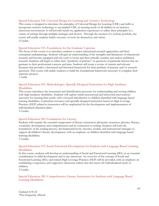# Special Education 534. Universal Design for Learning and Assistive Technology.

This course is designed to introduce the principles of Universal Design for Learning (UDL) and skills to incorporate assistive technology to accomplish UDL, in meeting needs of all children in an inclusive classroom environment. It will provide hands-on, application experiences to utilize these principles in a variety of settings through multiple strategies and devices. Through the creation of a website portfolio, the course will enable students build a resource of tools for themselves and others.     2 Credits.

# Special Education 535. Foundations for the Graduate Capstone

The focus of this course is to introduce students to major educational research approaches and their conceptual underpinnings. Students will gain an understanding of the strengths and limitations of educational research and become equipped with the tools to locate and then critically examine and analyze published research. Students will begin to refine their "problems of practice" or questions of particular interest that are germane to their professional contexts and aims. Students will create a review of current and relevant literature that provides a theoretical and historical framework for their problem of practice and/or research questions. This course will enable students to build the foundational framework necessary to complete their capstone projects.

1 credit.

# Special Education 550. Methodologies: Specially Designed Instruction for High-Incidence Disabilities.

This course introduces the assessment and identification processes for understanding and serving children with high-incidence disabilities. Students will explore initial instructional and behavioral interventions necessary for meeting their needs, with a focused introduction to children identified with language-based learning disabilities. Curriculum resources and specially designed instruction based on High-Leverage Practices (HLP) related to instruction will be emphasized for the development and implementation of individualized education plans.  

3 Credits.

# Special Education 560. Foundations for Literacy.

Students will examine the essential components of literacy instruction: phonemic awareness, phonics, fluency, vocabulary development and comprehension and its connection to writing. Students will learn the foundations of the reading process, developmental levels, theories, models, and instructional strategies to support all children's literacy development, with an emphasis on children identified with language-based learning disabilities.

3 Credits.

# Special Education 570. Social-Emotional Development for Students with Language-Based Learning Disabilities.

In this course, students will develop an understanding of Social and Emotional Learning (SEL) as an essential consideration in child development and in any classroom. An overview of the concept of Social and Emotional Learning (SEL) and related High-Leverage Practices (HLP) will be provided, with an emphasis on establishing a responsive and supportive classroom culture that also meets the individualized needs of children.

3 Credits.

# Special Education 585. Comprehensive Literacy Instruction for Students with Language Based Learning Disabilities.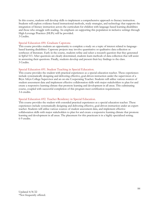In this course, students will develop skills to implement a comprehensive approach to literacy instruction. Students will explore evidence-based instructional methods, study strategies, and technology that supports the integration of literacy instruction across the curriculum for children with language-based learning disabilities and those who struggle with reading. An emphasis on supporting this population in inclusive settings through High-Leverage Practices (HLPs) will be provided. 3 Credits.

# Special Education 690. Graduate Capstone.

This course provides students an opportunity to complete a study on a topic of interest related to languagebased learning disabilities. Capstone projects may involve quantitative or qualitative data collection or syntheses of literature. Early in the course, students refine and select a research question that they generated in SpEd 513. After questions are clearly determined, students learn methods of data collection that will assist in answering their questions. Finally, students develop and present their key findings to the class. 3 Credits.

# Special Education 691. Student Teaching in Special Education.

This course provides the student with practical experiences as a special education teacher. These experiences include systematically designing and delivering effective, goal-driven instruction under the supervision of a Bryn Athyn College Supervisor and an on-site Cooperating Teacher. Students will utilize various sources of student assessment data and implement effective collaboration skills with major stakeholders to plan for and create a responsive learning climate that promote learning and development in all areas. This culminating course, coupled with successful completion of this program meet certification requirements. 3-6 credits.

# Special Education 692. Teacher Residency in Special Education.

This course provides the student with extended practical experiences as a special education teacher. These experiences include systematically designing and delivering effective, goal-driven instruction under an expertteacher. Students will utilize various sources of student assessment data, and implement effective collaboration skills with major stakeholders to plan for and create a responsive learning climate that promote learning and development in all areas. The placement for this practicum is in a highly specialized setting. 6-9 credits.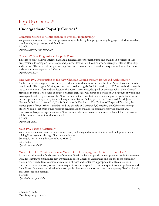# Pop-Up Courses\*

# **Undergraduate Pop-Up Courses\***

# Computer Science 197. Introduction to Python Programming.\*

We pursue ideas basic to computer programming with the Python programming language, including variables, conditionals, loops, arrays, and functions. 1 Credit.

*Offered December 2019, July 2020.*

# Dance 197. Jazz Progressions: Leaps & Turns.\*

This dance course allows intermediate and advanced dancers specific time and training in a variety of jazz progressions, focusing on turns, leaps, and jumps. Classwork will center around strength, balance, flexibility, and control. This work allows progressing dancers to master foundational technique as well as add advanced variations to their repertoire. 1 Credit.

*Offered April 2021.*

# Fine Arts 197. Introduction to the New Christian Church through its Art and Architecture.\*

As the course title suggests, this course provides an introduction to the beliefs of the New Christian Church, based on the Theological Writings of Emanuel Swedenborg (b. 1688 in Sweden, d. 1772 in England), through the study of works of art and architecture that were, themselves, designed or executed with "New Church" principles in mind. The course is object-oriented: each class will focus on a work of art or group of works and investigate beliefs or practices of the New Church that are manifest in its/their subject or symbolism, form, or use. Specific examples may include Jean-Jacques Gailliard's Triptych of the Three-Fold Word, John Flaxman's Deliver Us from Evil, Denis Duckworth's The Pulpit: The Tedium of Perpetual Worship, the stained glass of Bryn Athyn Cathedral, and the chapels of Cairnwood, Glencairn, and Cairncrest, among others. Works of art from other religious denominations will also be studied to provide context and comparison. No prior experience with New Church beliefs or practices is necessary. New Church doctrines will be presented at an introductory level.

1 Credit. *Offered July 2020.*

# Math 197. Basics of Matrices.\*

We examine the most basic elements of matrices, including addition, subtraction, and multiplication; and solving linear systems through Gaussian elimination. Pre-requisites: Any math course above Math102. 0.5 Credits. *Offered December 2020.*

# Modern Greek 197. Introduction to Modern Greek Language and Culture for Travelers.\*

An introduction to the fundamentals of modern Greek, with an emphasis on components useful for travelers. Includes learning to pronounce text written in modern Greek, to understand and use the most commonly encountered vocabulary, to communicate with phrases and sentences appropriate to different settings encountered during travel, to ask common questions, and respond to common questions with politeness and friendliness. Language introduction is accompanied by a consideration various contemporary Greek cultural characteristics and settings.

1 Credit. *Offered March-April 2020.*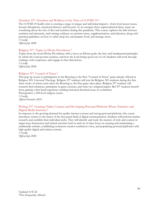# Nutrition 197. Nutrition and Wellness in the Time of COVID-19.\*

The COVID-19 health crisis is creating a range of unique and individual impacts—from food access issues, income disruptions, emotional distress, and beyond. As we navigate these unprecedented times, many are wondering about the role of diet and nutrition during this pandemic. This course explores the link between nutrition and immunity, and existing evidence on nutrient status, supplementation, and infection, along with practical guidelines on how to safely shop for, and prepare food, and manage stress. 1 Credit.

*Offered July 2020.*

# Religion 197. Topics in Divine Providence.\*

Topics from the book Divine Providence with a focus on Divine goals, the laws and fundamental principles by which the Lord governs creation, and how the Lord brings good out of evil. Students will work through readings, write responses, and engage in class discussions.

1 Credit. *Offered July 2020.*

#### Religion 397. Council of Nicea.\*

This pop-up course is participation in the Reacting to the Past "Council of Nicea" game already offered in Religion 305: Universal Theology. Religion 397 students will join the Religion 305 students during the first three weeks of winter term when the Reacting to the Past game takes place. Religion 397 students will research their character, participate in game sessions, and write two assigned papers. Rel 397 students benefit from gaining a first-hand experience tackling historical doctrinal issues in committee. Prerequisites: a 200-level religion course.

1 Credit.

*Offered December 2019.*

# Writing 197. Creating Online Content and Developing Personal Platform: Where Narrative and Digital Media Intersect.\*

In response to the growing demand for quality internet content and strong personal platform, this course introduces writers to the basics of the fast-paced field of digital communication. Students will perform market research and establish their individual niche. They will identify and study the masters of style and content in target areas Instruction and related activities both in and out of class focus on creating and maintaining a multimedia website, establishing consistent creative nonfiction voice, and populating personal platforms with high quality digital and written content.

1 Credit. *Offered July 2020.*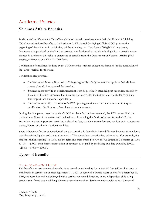# Academic Policies

# **Veterans Affairs Benefits**

Students seeking Veteran's Affairs (VA) education benefits need to submit their Certificate of Eligibility (COE) for educational benefits to the institution's VA School Certifying Official (SCO) prior to the beginning of the trimester in which they will be attending. A "Certificate of Eligibility" may be any documentation provided by the VA that serves as verification of an individual's eligibility to benefits under chapter 31 or chapter 33 such as a statement of benefits from the Department of Veterans Affairs' (VA) website, e-Benefits, or a VAF 28-1905 form.

Certification of enrollment is done by the SCO once the student's schedule is finalized (at the conclusion of the "drop" period) for the term.

Certification Requirements:

- Students must follow a Bryn Athyn College degree plan. Only courses that apply to their declared degree plan will be approved for benefits.
- Students must provide an official transcript from all previously attended post-secondary schools by the end of the first trimester. This includes non-accredited institutions and the student's military transcript (if not a spouse/dependent).
- Students must notify the institution's SCO upon registration each trimester in order to request certification. Certification of enrollment is not automatic.

During the time period after the student's COE for benefits has been received, the SCO has certified the student's enrollment for the term and the institution is awaiting the funds to be sent from the VA, the institution may not impose any penalties, such as late fees, nor deny the student any services such as access to classes, library, or other institutional facilities.

There is however further expectation of any payment that is due which is the difference between the student's total financial obligation and the total amount of VA educational benefits they will receive. For example, if a student's tuition expense is \$10000 for the term and their entitled to 70% in VA educational benefits, (\$10000  $X$  70% = \$7000) their further expectation of payment to be paid by the billing due date would be \$3000,  $$10000 - $7000 = $3000$ .

# **Types of Benefits**

# Chapter 33 – Post 9/11 GI Bill

This benefit is for service members who have served on active duty for at least 90 days (either all at once or with breaks in service) on or after September 11, 2001, or received a Purple Heart on or after September 11, 2001, and were honorably discharged with a service-connected disability, or are a dependent child using benefits transferred by a qualifying Veteran or service member. Service members with at least 3 years of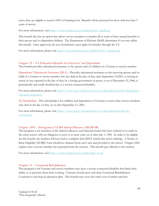active duty are eligible to receive 100% of funding level. Benefits will be prorated for those with less than 3 years of service.

For more information, visit [https://www.benefits.va.gov/gibill/post911\\_gibill.asp](https://www.benefits.va.gov/gibill/post911_gibill.asp)

This benefit also has an option that allows service members to transfer all or some of their unused benefits to their spouse and/or dependent children. The Department of Defense (DoD) determines if you may utilize this benefit. Once approved, the new beneficiaries must apply for benefits through the VA.

For more information, please visit [https://www.benefits.va.gov/gibill/post911\\_transfer.asp](https://www.benefits.va.gov/gibill/post911_transfer.asp)

# Chapter 35 – VA Education Benefits for Survivors' and Dependent

This benefit provides educational assistance to the spouse and/or children of a Veteran or service member

Dependents' Educational Assistance (DEA) – Provides educational assistance to the surviving spouse and/or child of a Veteran or service member who has died in the line of duty after September 10,2001, is missing in action or was captured in the line of duty by a foreign government or power, or as of December 23, 2006, is permanently and totally disabled due to a service-connected disability.

For more information, please visit [https://www.va.gov/education/survivor-dependent-benefits/dependents](https://www.va.gov/education/survivor-dependent-benefits/dependents-education-assistance/)[education-assistance/](https://www.va.gov/education/survivor-dependent-benefits/dependents-education-assistance/)

Fry Scholarship – This scholarship is for children and dependents of Veterans or active-duty service members who died in the line of duty on or after September 11, 2001.

For more information, please visit [https://www.va.gov/education/survivor-dependent-benefits/fry](https://www.va.gov/education/survivor-dependent-benefits/fry-scholarship/)[scholarship/](https://www.va.gov/education/survivor-dependent-benefits/fry-scholarship/)

# Chapter 1606 – Montgomery GI Bill Selected Reserve (MGIB-SR)

This program is for members of the Selective Reserve and National Guard who have enlisted or re-enlist in the select reserve with an obligation to serve 6 or more years on or after July 1, 1985. In order to be eligible for this benefit, the member will have had to complete their IDAT (initial date active training). A Notice of Basic Eligibility (NOBE) form should be obtained from one's unit and provided to the school. Chapter 1606 expires once a service member has separated from the reserves. This benefit pays directly to the student.

For more information, visit [https://www.benefits.va.gov/gibill/mgib\\_sr.asp](https://www.benefits.va.gov/gibill/mgib_sr.asp)

# Chapter 31 – Vocational Rehabilitation

This program is for Veterans and service members who have a service-connected disability that limits their ability to or prevents them from working. Veterans should meet with their Vocational Rehabilitation Counselor to develop an education plan. This benefit may cover the entire cost of tuition and fees.